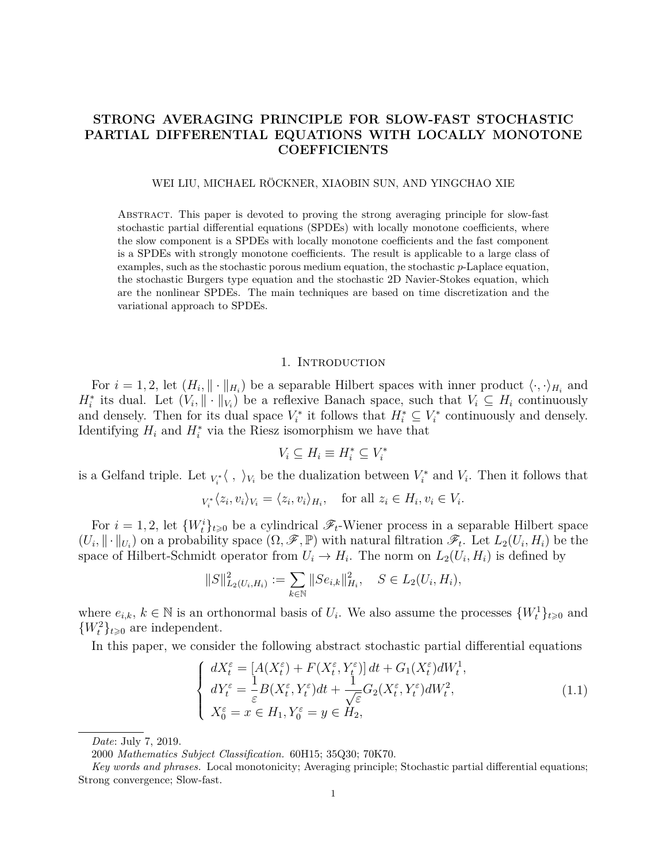# **STRONG AVERAGING PRINCIPLE FOR SLOW-FAST STOCHASTIC PARTIAL DIFFERENTIAL EQUATIONS WITH LOCALLY MONOTONE COEFFICIENTS**

#### WEI LIU, MICHAEL RÖCKNER, XIAOBIN SUN, AND YINGCHAO XIE

Abstract. This paper is devoted to proving the strong averaging principle for slow-fast stochastic partial differential equations (SPDEs) with locally monotone coefficients, where the slow component is a SPDEs with locally monotone coefficients and the fast component is a SPDEs with strongly monotone coefficients. The result is applicable to a large class of examples, such as the stochastic porous medium equation, the stochastic *p*-Laplace equation, the stochastic Burgers type equation and the stochastic 2D Navier-Stokes equation, which are the nonlinear SPDEs. The main techniques are based on time discretization and the variational approach to SPDEs.

### 1. INTRODUCTION

For  $i = 1, 2$ , let  $(H_i, \|\cdot\|_{H_i})$  be a separable Hilbert spaces with inner product  $\langle \cdot, \cdot \rangle_{H_i}$  and  $H_i^*$  its dual. Let  $(V_i, \|\cdot\|_{V_i})$  be a reflexive Banach space, such that  $V_i \subseteq H_i$  continuously and densely. Then for its dual space  $V_i^*$  it follows that  $H_i^* \subseteq V_i^*$  continuously and densely. Identifying  $H_i$  and  $H_i^*$  via the Riesz isomorphism we have that

$$
V_i \subseteq H_i \equiv H_i^* \subseteq V_i^*
$$

is a Gelfand triple. Let  $_{V_i^*}\langle , \rangle_{V_i}$  be the dualization between  $V_i^*$  and  $V_i$ . Then it follows that

$$
V_i^*\langle z_i, v_i \rangle_{V_i} = \langle z_i, v_i \rangle_{H_i}, \quad \text{for all } z_i \in H_i, v_i \in V_i.
$$

For  $i = 1, 2$ , let  $\{W_t^i\}_{t \geq 0}$  be a cylindrical  $\mathscr{F}_t$ -Wiener process in a separable Hilbert space  $(U_i, \|\cdot\|_{U_i})$  on a probability space  $(\Omega, \mathscr{F}, \mathbb{P})$  with natural filtration  $\mathscr{F}_t$ . Let  $L_2(U_i, H_i)$  be the space of Hilbert-Schmidt operator from  $U_i \to H_i$ . The norm on  $L_2(U_i, H_i)$  is defined by

$$
||S||_{L_2(U_i, H_i)}^2 := \sum_{k \in \mathbb{N}} ||Se_{i,k}||_{H_i}^2, \quad S \in L_2(U_i, H_i),
$$

where  $e_{i,k}, k \in \mathbb{N}$  is an orthonormal basis of  $U_i$ . We also assume the processes  $\{W_t^1\}_{t \geq 0}$  and  ${W<sub>t</sub><sup>2</sup>}<sub>t\ge0</sub>$  are independent.

In this paper, we consider the following abstract stochastic partial differential equations

<span id="page-0-0"></span>
$$
\begin{cases}\ndX_t^{\varepsilon} = [A(X_t^{\varepsilon}) + F(X_t^{\varepsilon}, Y_t^{\varepsilon})]dt + G_1(X_t^{\varepsilon})dW_t^1, \\
dY_t^{\varepsilon} = \frac{1}{\varepsilon}B(X_t^{\varepsilon}, Y_t^{\varepsilon})dt + \frac{1}{\sqrt{\varepsilon}}G_2(X_t^{\varepsilon}, Y_t^{\varepsilon})dW_t^2, \\
X_0^{\varepsilon} = x \in H_1, Y_0^{\varepsilon} = y \in H_2,\n\end{cases} \tag{1.1}
$$

*Date*: July 7, 2019.

<sup>2000</sup> *Mathematics Subject Classification.* 60H15; 35Q30; 70K70.

*Key words and phrases.* Local monotonicity; Averaging principle; Stochastic partial differential equations; Strong convergence; Slow-fast.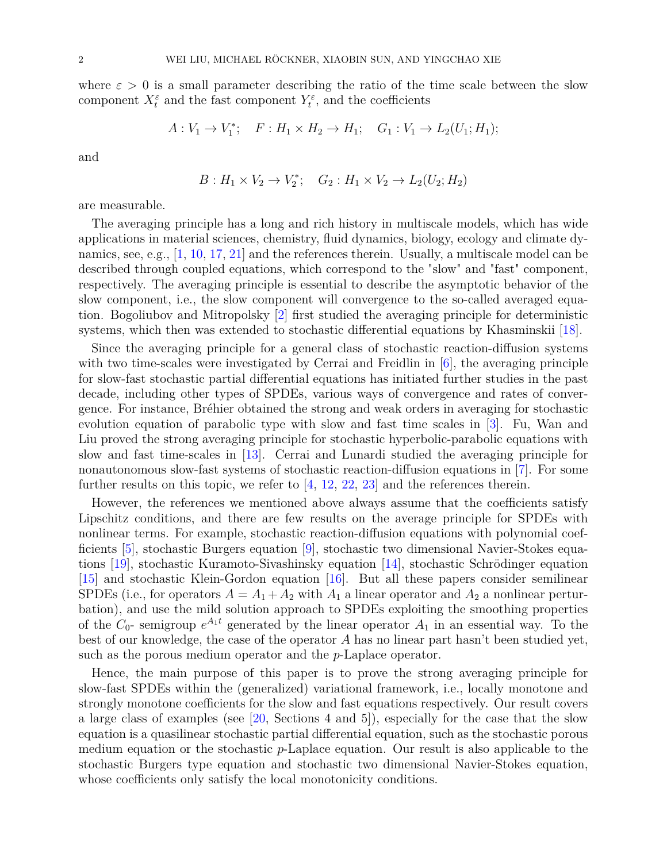where  $\varepsilon > 0$  is a small parameter describing the ratio of the time scale between the slow component  $X_t^{\varepsilon}$  and the fast component  $Y_t^{\varepsilon}$ , and the coefficients

$$
A: V_1 \to V_1^*; \quad F: H_1 \times H_2 \to H_1; \quad G_1: V_1 \to L_2(U_1; H_1);
$$

and

$$
B: H_1 \times V_2 \to V_2^*; \quad G_2: H_1 \times V_2 \to L_2(U_2; H_2)
$$

are measurable.

The averaging principle has a long and rich history in multiscale models, which has wide applications in material sciences, chemistry, fluid dynamics, biology, ecology and climate dynamics, see, e.g., [\[1,](#page-21-0) [10,](#page-21-1) [17,](#page-21-2) [21\]](#page-21-3) and the references therein. Usually, a multiscale model can be described through coupled equations, which correspond to the "slow" and "fast" component, respectively. The averaging principle is essential to describe the asymptotic behavior of the slow component, i.e., the slow component will convergence to the so-called averaged equation. Bogoliubov and Mitropolsky [\[2\]](#page-21-4) first studied the averaging principle for deterministic systems, which then was extended to stochastic differential equations by Khasminskii [\[18\]](#page-21-5).

Since the averaging principle for a general class of stochastic reaction-diffusion systems with two time-scales were investigated by Cerrai and Freidlin in [\[6\]](#page-21-6), the averaging principle for slow-fast stochastic partial differential equations has initiated further studies in the past decade, including other types of SPDEs, various ways of convergence and rates of convergence. For instance, Bréhier obtained the strong and weak orders in averaging for stochastic evolution equation of parabolic type with slow and fast time scales in [\[3\]](#page-21-7). Fu, Wan and Liu proved the strong averaging principle for stochastic hyperbolic-parabolic equations with slow and fast time-scales in [\[13\]](#page-21-8). Cerrai and Lunardi studied the averaging principle for nonautonomous slow-fast systems of stochastic reaction-diffusion equations in [\[7\]](#page-21-9). For some further results on this topic, we refer to [\[4,](#page-21-10) [12,](#page-21-11) [22,](#page-21-12) [23\]](#page-21-13) and the references therein.

However, the references we mentioned above always assume that the coefficients satisfy Lipschitz conditions, and there are few results on the average principle for SPDEs with nonlinear terms. For example, stochastic reaction-diffusion equations with polynomial coefficients [\[5\]](#page-21-14), stochastic Burgers equation [\[9\]](#page-21-15), stochastic two dimensional Navier-Stokes equations [\[19\]](#page-21-16), stochastic Kuramoto-Sivashinsky equation [\[14\]](#page-21-17), stochastic Schrödinger equation [\[15\]](#page-21-18) and stochastic Klein-Gordon equation [\[16\]](#page-21-19). But all these papers consider semilinear SPDEs (i.e., for operators  $A = A_1 + A_2$  with  $A_1$  a linear operator and  $A_2$  a nonlinear perturbation), and use the mild solution approach to SPDEs exploiting the smoothing properties of the  $C_0$ - semigroup  $e^{A_1 t}$  generated by the linear operator  $A_1$  in an essential way. To the best of our knowledge, the case of the operator *A* has no linear part hasn't been studied yet, such as the porous medium operator and the *p*-Laplace operator.

Hence, the main purpose of this paper is to prove the strong averaging principle for slow-fast SPDEs within the (generalized) variational framework, i.e., locally monotone and strongly monotone coefficients for the slow and fast equations respectively. Our result covers a large class of examples (see [\[20,](#page-21-20) Sections 4 and 5]), especially for the case that the slow equation is a quasilinear stochastic partial differential equation, such as the stochastic porous medium equation or the stochastic *p*-Laplace equation. Our result is also applicable to the stochastic Burgers type equation and stochastic two dimensional Navier-Stokes equation, whose coefficients only satisfy the local monotonicity conditions.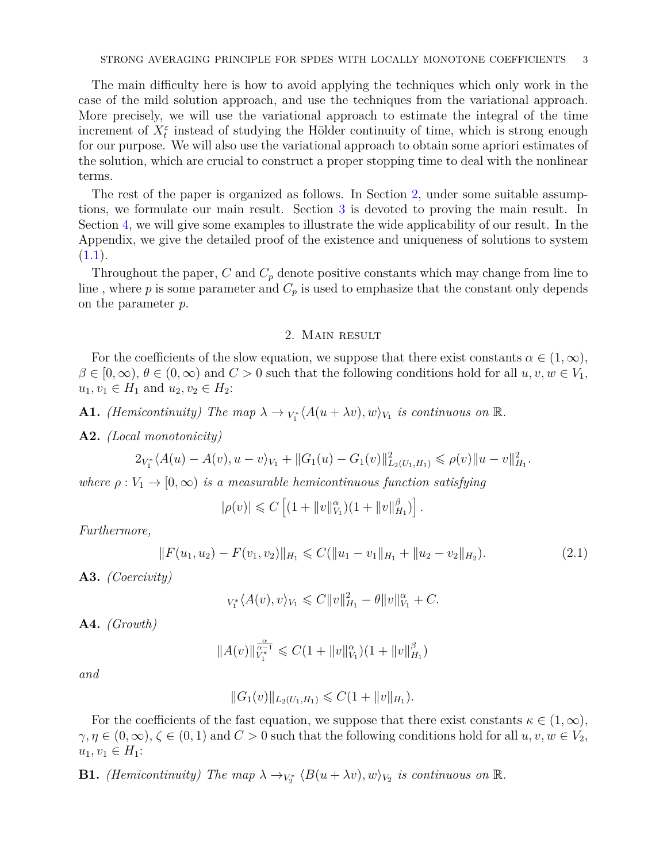The main difficulty here is how to avoid applying the techniques which only work in the case of the mild solution approach, and use the techniques from the variational approach. More precisely, we will use the variational approach to estimate the integral of the time increment of  $X_t^{\varepsilon}$  instead of studying the Hölder continuity of time, which is strong enough for our purpose. We will also use the variational approach to obtain some apriori estimates of the solution, which are crucial to construct a proper stopping time to deal with the nonlinear terms.

The rest of the paper is organized as follows. In Section [2,](#page-2-0) under some suitable assumptions, we formulate our main result. Section [3](#page-4-0) is devoted to proving the main result. In Section [4,](#page-16-0) we will give some examples to illustrate the wide applicability of our result. In the Appendix, we give the detailed proof of the existence and uniqueness of solutions to system  $(1.1).$  $(1.1).$ 

Throughout the paper, *C* and *C<sup>p</sup>* denote positive constants which may change from line to line, where  $p$  is some parameter and  $C_p$  is used to emphasize that the constant only depends on the parameter *p*.

## 2. Main result

<span id="page-2-0"></span>For the coefficients of the slow equation, we suppose that there exist constants  $\alpha \in (1,\infty)$ ,  $\beta \in [0,\infty)$ ,  $\theta \in (0,\infty)$  and  $C > 0$  such that the following conditions hold for all  $u, v, w \in V_1$ ,  $u_1, v_1 \in H_1$  and  $u_2, v_2 \in H_2$ :

<span id="page-2-2"></span>**A1.** *(Hemicontinuity)* The map  $\lambda \to V_1^* \langle A(u + \lambda v), w \rangle_{V_1}$  is continuous on  $\mathbb{R}$ *.* 

<span id="page-2-5"></span>**A2.** *(Local monotonicity)*

$$
2_{V_1^*}\langle A(u) - A(v), u - v \rangle_{V_1} + ||G_1(u) - G_1(v)||_{L_2(U_1, H_1)}^2 \le \rho(v) ||u - v||_{H_1}^2.
$$

*where*  $\rho: V_1 \to [0, \infty)$  *is a measurable hemicontinuous function satisfying* 

$$
|\rho(v)| \leq C \left[ (1 + \|v\|_{V_1}^{\alpha})(1 + \|v\|_{H_1}^{\beta}) \right].
$$

*Furthermore,*

<span id="page-2-6"></span>
$$
||F(u_1, u_2) - F(v_1, v_2)||_{H_1} \leqslant C(||u_1 - v_1||_{H_1} + ||u_2 - v_2||_{H_2}).
$$
\n(2.1)

<span id="page-2-1"></span>**A3.** *(Coercivity)*

$$
_{V_1^*}\langle A(v), v\rangle_{V_1} \leqslant C \|v\|_{H_1}^2 - \theta \|v\|_{V_1}^\alpha + C.
$$

<span id="page-2-3"></span>**A4.** *(Growth)*

$$
||A(v)||_{V_1^*}^{\frac{\alpha}{\alpha-1}} \leqslant C(1+||v||_{V_1}^{\alpha})(1+||v||_{H_1}^{\beta})
$$

*and*

$$
||G_1(v)||_{L_2(U_1,H_1)} \leqslant C(1+||v||_{H_1}).
$$

For the coefficients of the fast equation, we suppose that there exist constants  $\kappa \in (1,\infty)$ ,  $\gamma, \eta \in (0, \infty), \zeta \in (0, 1)$  and  $C > 0$  such that the following conditions hold for all  $u, v, w \in V_2$ ,  $u_1, v_1$  ∈  $H_1$ :

<span id="page-2-4"></span>**B1.** *(Hemicontinuity)* The map  $\lambda \rightarrow_{V_2^*} \langle B(u + \lambda v), w \rangle_{V_2}$  is continuous on  $\mathbb{R}$ *.*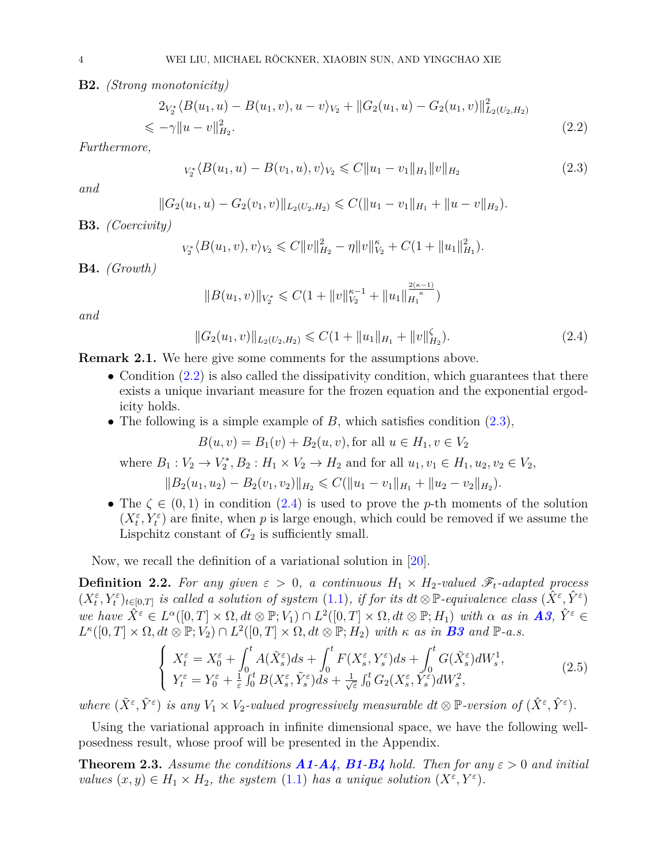<span id="page-3-5"></span>**B2.** *(Strong monotonicity)*

<span id="page-3-0"></span>
$$
2_{V_2^*} \langle B(u_1, u) - B(u_1, v), u - v \rangle_{V_2} + ||G_2(u_1, u) - G_2(u_1, v)||_{L_2(U_2, H_2)}^2
$$
  
\$\le -\gamma ||u - v||\_{H\_2}^2\$. (2.2)

*Furthermore,*

<span id="page-3-1"></span>
$$
v_2^* \langle B(u_1, u) - B(v_1, u), v \rangle_{V_2} \leq C \|u_1 - v_1\|_{H_1} \|v\|_{H_2}
$$
\n(2.3)

*and*

$$
||G_2(u_1, u) - G_2(v_1, v)||_{L_2(U_2, H_2)} \leq C(||u_1 - v_1||_{H_1} + ||u - v||_{H_2}).
$$

<span id="page-3-3"></span>**B3.** *(Coercivity)*

$$
_{V_2^*}\langle B(u_1,v),v\rangle_{V_2}\leqslant C\|v\|_{H_2}^2-\eta\|v\|_{V_2}^{\kappa}+C(1+\|u_1\|_{H_1}^2).
$$

<span id="page-3-4"></span>**B4.** *(Growth)*

$$
||B(u_1, v)||_{V_2^*} \leq C(1 + ||v||_{V_2}^{\kappa - 1} + ||u_1||_{H_1}^{\frac{2(\kappa - 1)}{\kappa}})
$$

*and*

<span id="page-3-2"></span>
$$
||G_2(u_1, v)||_{L_2(U_2, H_2)} \leq C(1 + ||u_1||_{H_1} + ||v||_{H_2}^{\zeta}).
$$
\n(2.4)

**Remark 2.1.** We here give some comments for the assumptions above.

- Condition  $(2.2)$  is also called the dissipativity condition, which guarantees that there exists a unique invariant measure for the frozen equation and the exponential ergodicity holds.
- The following is a simple example of *B*, which satisfies condition [\(2.3\)](#page-3-1),

$$
B(u, v) = B_1(v) + B_2(u, v), \text{for all } u \in H_1, v \in V_2
$$

where  $B_1: V_2 \to V_2^*, B_2: H_1 \times V_2 \to H_2$  and for all  $u_1, v_1 \in H_1, u_2, v_2 \in V_2$ ,

$$
||B_2(u_1, u_2) - B_2(v_1, v_2)||_{H_2} \leqslant C(||u_1 - v_1||_{H_1} + ||u_2 - v_2||_{H_2}).
$$

• The  $\zeta \in (0,1)$  in condition  $(2.4)$  is used to prove the *p*-th moments of the solution  $(X_t^{\varepsilon}, Y_t^{\varepsilon})$  are finite, when *p* is large enough, which could be removed if we assume the Lispchitz constant of  $G_2$  is sufficiently small.

Now, we recall the definition of a variational solution in [\[20\]](#page-21-20).

<span id="page-3-6"></span>**Definition 2.2.** For any given  $\varepsilon > 0$ , a continuous  $H_1 \times H_2$ -valued  $\mathscr{F}_t$ -adapted process  $(X_t^{\varepsilon}, Y_t^{\varepsilon})_{t \in [0,T]}$  is called a solution of system  $(1.1)$ , if for its  $dt \otimes \mathbb{P}$ -equivalence class  $(\hat{X}^{\varepsilon}, \hat{Y}^{\varepsilon})$ we have  $\hat{X}^{\varepsilon} \in L^{\alpha}([0,T] \times \Omega, dt \otimes \mathbb{P}; V_1) \cap L^2([0,T] \times \Omega, dt \otimes \mathbb{P}; H_1)$  with  $\alpha$  as in **[A3](#page-2-1)**,  $\hat{Y}^{\varepsilon} \in$  $L^{\kappa}([0,T] \times \Omega, dt \otimes \mathbb{P}; V_2) \cap L^2([0,T] \times \Omega, dt \otimes \mathbb{P}; H_2)$  with  $\kappa$  *as in* **[B3](#page-3-3)** *and*  $\mathbb{P}\text{-}a.s.$ 

$$
\begin{cases}\nX_t^{\varepsilon} = X_0^{\varepsilon} + \int_0^t A(\tilde{X}_s^{\varepsilon}) ds + \int_0^t F(X_s^{\varepsilon}, Y_s^{\varepsilon}) ds + \int_0^t G(\tilde{X}_s^{\varepsilon}) dW_s^1, \\
Y_t^{\varepsilon} = Y_0^{\varepsilon} + \frac{1}{\varepsilon} \int_0^t B(X_s^{\varepsilon}, \tilde{Y}_s^{\varepsilon}) ds + \frac{1}{\sqrt{\varepsilon}} \int_0^t G_2(X_s^{\varepsilon}, \tilde{Y}_s^{\varepsilon}) dW_s^2,\n\end{cases} \tag{2.5}
$$

where  $(\tilde{X}^{\varepsilon}, \tilde{Y}^{\varepsilon})$  is any  $V_1 \times V_2$ -valued progressively measurable dt  $\otimes \mathbb{P}$ -version of  $(\hat{X}^{\varepsilon}, \hat{Y}^{\varepsilon})$ .

Using the variational approach in infinite dimensional space, we have the following wellposedness result, whose proof will be presented in the Appendix.

<span id="page-3-7"></span>**Theorem 2.3.** Assume the conditions  $A1 - A4$  $A1 - A4$  $A1 - A4$ ,  $B1 - B4$  $B1 - B4$  $B1 - B4$  hold. Then for any  $\varepsilon > 0$  and initial *values*  $(x, y) \in H_1 \times H_2$ , *the system* [\(1.1\)](#page-0-0) *has a unique solution*  $(X^{\varepsilon}, Y^{\varepsilon})$ *.*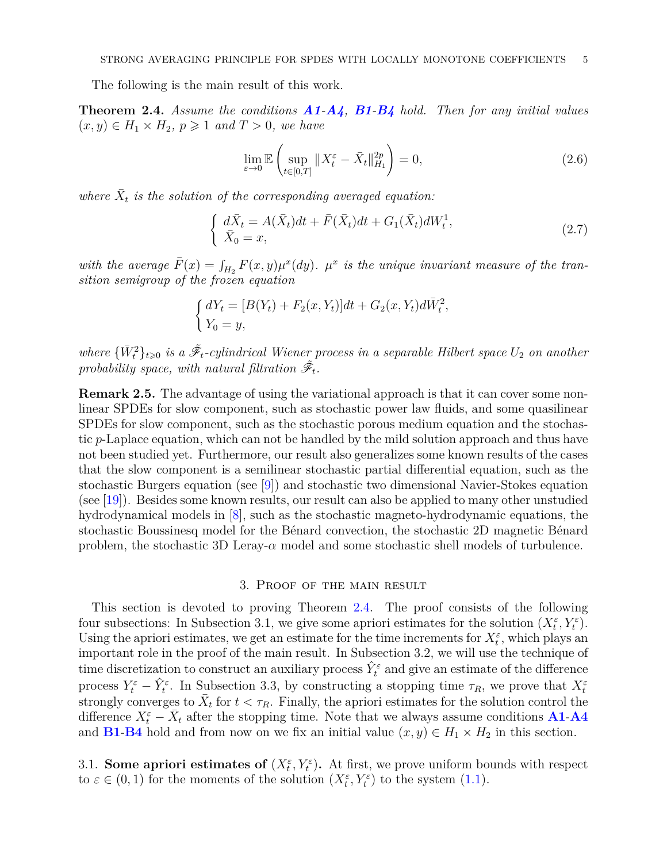The following is the main result of this work.

<span id="page-4-1"></span>**Theorem 2.4.** *Assume the conditions [A1](#page-2-2)-[A4](#page-2-3), [B1](#page-2-4)-[B4](#page-3-4) hold. Then for any initial values*  $(x, y)$  ∈  $H_1$  ×  $H_2$ ,  $p$  ≥ 1 *and*  $T$  > 0, *we have* 

$$
\lim_{\varepsilon \to 0} \mathbb{E} \left( \sup_{t \in [0,T]} \|X_t^{\varepsilon} - \bar{X}_t\|_{H_1}^{2p} \right) = 0,
$$
\n(2.6)

*where*  $\bar{X}_t$  *is the solution of the corresponding averaged equation:* 

$$
\begin{cases} d\bar{X}_t = A(\bar{X}_t)dt + \bar{F}(\bar{X}_t)dt + G_1(\bar{X}_t)dW_t^1, \\ \bar{X}_0 = x, \end{cases}
$$
 (2.7)

with the average  $\bar{F}(x) = \int_{H_2} F(x, y) \mu^x(dy)$ *.*  $\mu^x$  is the unique invariant measure of the tran*sition semigroup of the frozen equation*

$$
\begin{cases} dY_t = [B(Y_t) + F_2(x, Y_t)]dt + G_2(x, Y_t)d\bar{W}_t^2, \\ Y_0 = y, \end{cases}
$$

 $where \{\bar{W}_t^2\}_{t\geq 0}$  *is a*  $\tilde{\mathcal{F}}_t$ -cylindrical Wiener process in a separable Hilbert space  $U_2$  *on another* probability space, with natural filtration  $\tilde{\mathscr{F}}_t$ .

**Remark 2.5.** The advantage of using the variational approach is that it can cover some nonlinear SPDEs for slow component, such as stochastic power law fluids, and some quasilinear SPDEs for slow component, such as the stochastic porous medium equation and the stochastic *p*-Laplace equation, which can not be handled by the mild solution approach and thus have not been studied yet. Furthermore, our result also generalizes some known results of the cases that the slow component is a semilinear stochastic partial differential equation, such as the stochastic Burgers equation (see [\[9\]](#page-21-15)) and stochastic two dimensional Navier-Stokes equation (see  $[19]$ ). Besides some known results, our result can also be applied to many other unstudied hydrodynamical models in [\[8\]](#page-21-21), such as the stochastic magneto-hydrodynamic equations, the stochastic Boussinesq model for the Bénard convection, the stochastic 2D magnetic Bénard problem, the stochastic 3D Leray- $\alpha$  model and some stochastic shell models of turbulence.

#### 3. Proof of the main result

<span id="page-4-0"></span>This section is devoted to proving Theorem [2.4.](#page-4-1) The proof consists of the following four subsections: In Subsection 3.1, we give some apriori estimates for the solution  $(X_t^{\varepsilon}, Y_t^{\varepsilon})$ . Using the apriori estimates, we get an estimate for the time increments for  $X_t^{\varepsilon}$ , which plays an important role in the proof of the main result. In Subsection 3.2, we will use the technique of time discretization to construct an auxiliary process  $\hat{Y}_t^{\varepsilon}$  and give an estimate of the difference process  $Y_t^{\varepsilon} - \hat{Y}_t^{\varepsilon}$ . In Subsection 3.3, by constructing a stopping time  $\tau_R$ , we prove that  $X_t^{\varepsilon}$ strongly converges to  $\bar{X}_t$  for  $t < \tau_R$ . Finally, the apriori estimates for the solution control the difference  $X_t^{\varepsilon} - \bar{X}_t$  after the stopping time. Note that we always assume conditions **[A1](#page-2-2)-[A4](#page-2-3)** and **[B1](#page-2-4)-[B4](#page-3-4)** hold and from now on we fix an initial value  $(x, y) \in H_1 \times H_2$  in this section.

3.1. **Some apriori estimates of**  $(X_t^{\varepsilon}, Y_t^{\varepsilon})$ . At first, we prove uniform bounds with respect to  $\varepsilon \in (0,1)$  for the moments of the solution  $(X_t^{\varepsilon}, Y_t^{\varepsilon})$  to the system  $(1.1)$ .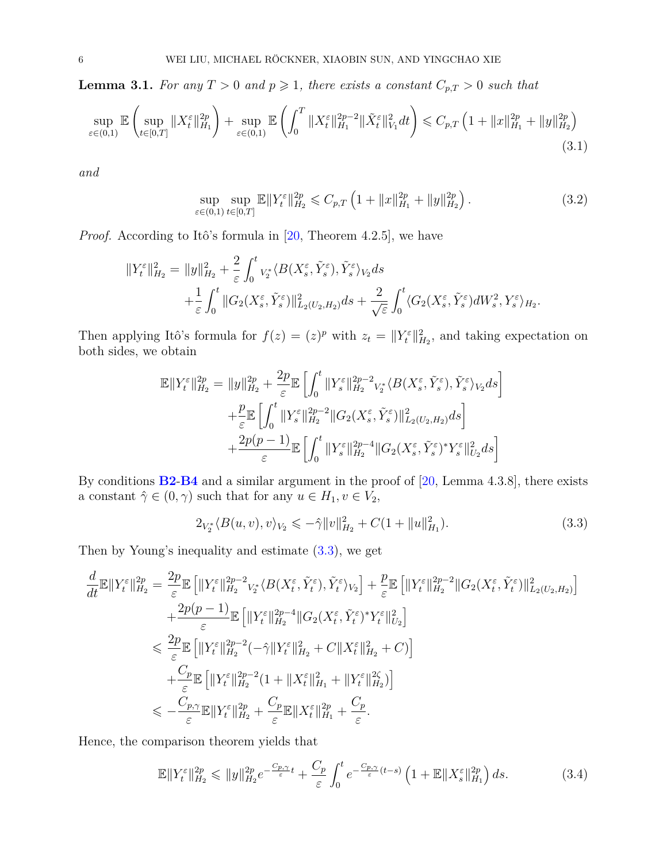<span id="page-5-4"></span>**Lemma 3.1.** For any  $T > 0$  and  $p \ge 1$ , there exists a constant  $C_{p,T} > 0$  such that

$$
\sup_{\varepsilon \in (0,1)} \mathbb{E} \left( \sup_{t \in [0,T]} \|X_t^{\varepsilon}\|_{H_1}^{2p} \right) + \sup_{\varepsilon \in (0,1)} \mathbb{E} \left( \int_0^T \|X_t^{\varepsilon}\|_{H_1}^{2p-2} \|\tilde{X}_t^{\varepsilon}\|_{V_1}^{2} dt \right) \leq C_{p,T} \left( 1 + \|x\|_{H_1}^{2p} + \|y\|_{H_2}^{2p} \right) \tag{3.1}
$$

*and*

<span id="page-5-3"></span><span id="page-5-2"></span>
$$
\sup_{\varepsilon \in (0,1)} \sup_{t \in [0,T]} \mathbb{E} \|Y_t^{\varepsilon}\|_{H_2}^{2p} \leq C_{p,T} \left(1 + \|x\|_{H_1}^{2p} + \|y\|_{H_2}^{2p}\right). \tag{3.2}
$$

*Proof.* According to Itô's formula in [\[20,](#page-21-20) Theorem 4.2.5], we have

$$
\begin{split} \|Y_t^{\varepsilon}\|_{H_2}^2 &= \|y\|_{H_2}^2 + \frac{2}{\varepsilon} \int_0^t v_2^* \langle B(X_s^{\varepsilon}, \tilde{Y}_s^{\varepsilon}), \tilde{Y}_s^{\varepsilon} \rangle_{V_2} ds \\ &+ \frac{1}{\varepsilon} \int_0^t \|G_2(X_s^{\varepsilon}, \tilde{Y}_s^{\varepsilon})\|_{L_2(U_2, H_2)}^2 ds + \frac{2}{\sqrt{\varepsilon}} \int_0^t \langle G_2(X_s^{\varepsilon}, \tilde{Y}_s^{\varepsilon}) dW_s^2, Y_s^{\varepsilon} \rangle_{H_2}. \end{split}
$$

Then applying Itô's formula for  $f(z) = (z)^p$  with  $z_t = ||Y_t^{\varepsilon}||_{H_2}^2$ , and taking expectation on both sides, we obtain

$$
\mathbb{E}||Y_t^{\varepsilon}||_{H_2}^{2p} = ||y||_{H_2}^{2p} + \frac{2p}{\varepsilon} \mathbb{E}\left[\int_0^t ||Y_s^{\varepsilon}||_{H_2}^{2p-2} V_x^* \langle B(X_s^{\varepsilon}, \tilde{Y}_s^{\varepsilon}), \tilde{Y}_s^{\varepsilon} \rangle_{V_2} ds\right]
$$
  
+ 
$$
\frac{p}{\varepsilon} \mathbb{E}\left[\int_0^t ||Y_s^{\varepsilon}||_{H_2}^{2p-2} ||G_2(X_s^{\varepsilon}, \tilde{Y}_s^{\varepsilon})||_{L_2(U_2, H_2)}^2 ds\right]
$$
  
+ 
$$
\frac{2p(p-1)}{\varepsilon} \mathbb{E}\left[\int_0^t ||Y_s^{\varepsilon}||_{H_2}^{2p-4} ||G_2(X_s^{\varepsilon}, \tilde{Y}_s^{\varepsilon})^* Y_s^{\varepsilon}||_{U_2}^2 ds\right]
$$

By conditions **[B2](#page-3-5)**-**[B4](#page-3-4)** and a similar argument in the proof of [\[20,](#page-21-20) Lemma 4.3.8], there exists a constant  $\hat{\gamma} \in (0, \gamma)$  such that for any  $u \in H_1, v \in V_2$ ,

<span id="page-5-0"></span>
$$
2_{V_2^*} \langle B(u, v), v \rangle_{V_2} \leqslant -\hat{\gamma} ||v||_{H_2}^2 + C(1 + ||u||_{H_1}^2). \tag{3.3}
$$

Then by Young's inequality and estimate  $(3.3)$ , we get

$$
\frac{d}{dt}\mathbb{E}\|Y_t^{\varepsilon}\|_{H_2}^{2p} = \frac{2p}{\varepsilon}\mathbb{E}\left[\|Y_t^{\varepsilon}\|_{H_2}^{2p-2}v_{\varepsilon}^{\ast}\langle B(X_t^{\varepsilon}, \tilde{Y}_t^{\varepsilon}), \tilde{Y}_t^{\varepsilon}\rangle_{V_2}\right] + \frac{p}{\varepsilon}\mathbb{E}\left[\|Y_t^{\varepsilon}\|_{H_2}^{2p-2}\|G_2(X_t^{\varepsilon}, \tilde{Y}_t^{\varepsilon})\|_{L_2(U_2, H_2)}^2\right] \n+ \frac{2p(p-1)}{\varepsilon}\mathbb{E}\left[\|Y_t^{\varepsilon}\|_{H_2}^{2p-4}\|G_2(X_t^{\varepsilon}, \tilde{Y}_t^{\varepsilon})^{\ast}Y_t^{\varepsilon}\|_{U_2}^2\right] \n\leq \frac{2p}{\varepsilon}\mathbb{E}\left[\|Y_t^{\varepsilon}\|_{H_2}^{2p-2}(-\hat{\gamma}\|Y_t^{\varepsilon}\|_{H_2}^2 + C\|X_t^{\varepsilon}\|_{H_2}^2 + C)\right] \n+ \frac{C_p}{\varepsilon}\mathbb{E}\left[\|Y_t^{\varepsilon}\|_{H_2}^{2p-2}(1 + \|X_t^{\varepsilon}\|_{H_1}^2 + \|Y_t^{\varepsilon}\|_{H_2}^2)\right] \n\leq -\frac{C_{p,\gamma}}{\varepsilon}\mathbb{E}\|Y_t^{\varepsilon}\|_{H_2}^{2p} + \frac{C_p}{\varepsilon}\mathbb{E}\|X_t^{\varepsilon}\|_{H_1}^{2p} + \frac{C_p}{\varepsilon}.
$$

Hence, the comparison theorem yields that

<span id="page-5-1"></span>
$$
\mathbb{E}\|Y_t^{\varepsilon}\|_{H_2}^{2p} \le \|y\|_{H_2}^{2p} e^{-\frac{C_{p,\gamma}}{\varepsilon}t} + \frac{C_p}{\varepsilon} \int_0^t e^{-\frac{C_{p,\gamma}}{\varepsilon}(t-s)} \left(1 + \mathbb{E}\|X_s^{\varepsilon}\|_{H_1}^{2p}\right) ds. \tag{3.4}
$$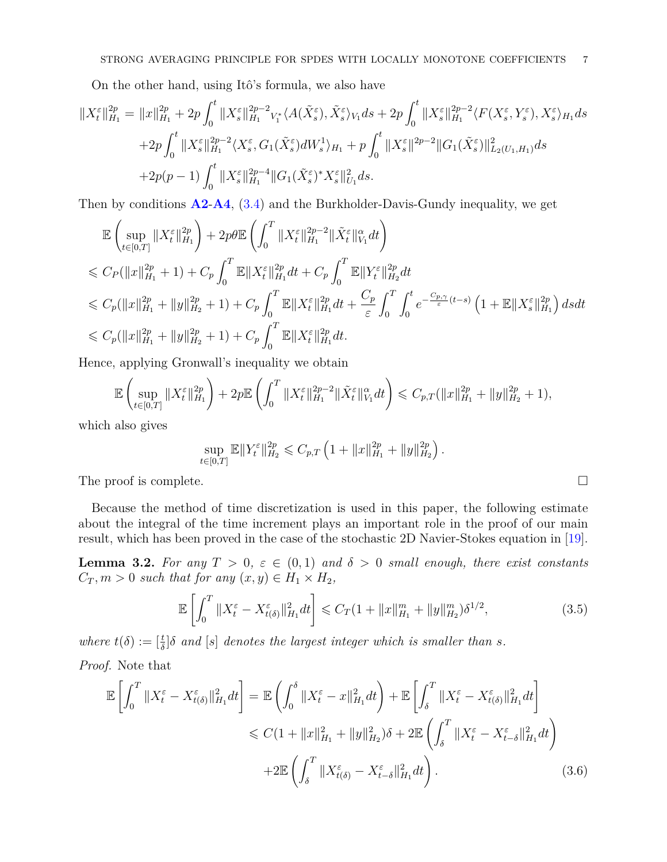On the other hand, using Itô's formula, we also have

$$
\begin{split} \Vert X_t^{\varepsilon}\Vert_{H_1}^{2p}&=\Vert x\Vert_{H_1}^{2p}+2p\int_0^t \Vert X_s^{\varepsilon}\Vert_{H_1}^{2p-2}v_t^*\langle A(\tilde{X}_s^{\varepsilon}),\tilde{X}_s^{\varepsilon}\rangle_{V_1}ds+2p\int_0^t \Vert X_s^{\varepsilon}\Vert_{H_1}^{2p-2}\langle F(X_s^{\varepsilon},Y_s^{\varepsilon}),X_s^{\varepsilon}\rangle_{H_1}ds\\ &\quad+2p\int_0^t \Vert X_s^{\varepsilon}\Vert_{H_1}^{2p-2}\langle X_s^{\varepsilon},G_1(\tilde{X}_s^{\varepsilon})dW_s^1\rangle_{H_1}+p\int_0^t \Vert X_s^{\varepsilon}\Vert_{L_1}^{2p-2}\Vert G_1(\tilde{X}_s^{\varepsilon})\Vert_{L_2(U_1,H_1)}^2ds\\ &\quad+2p(p-1)\int_0^t \Vert X_s^{\varepsilon}\Vert_{H_1}^{2p-4}\Vert G_1(\tilde{X}_s^{\varepsilon})^*X_s^{\varepsilon}\Vert_{U_1}^2ds. \end{split}
$$

Then by conditions **[A2](#page-2-5)**-**[A4](#page-2-3)**, [\(3.4\)](#page-5-1) and the Burkholder-Davis-Gundy inequality, we get

$$
\mathbb{E}\left(\sup_{t\in[0,T]}\|X_t^{\varepsilon}\|_{H_1}^{2p}\right) + 2p\theta\mathbb{E}\left(\int_0^T \|X_t^{\varepsilon}\|_{H_1}^{2p-2} \|\tilde{X}_t^{\varepsilon}\|_{V_1}^{\alpha} dt\right) \n\leq C_P(\|x\|_{H_1}^{2p} + 1) + C_p \int_0^T \mathbb{E}\|X_t^{\varepsilon}\|_{H_1}^{2p} dt + C_p \int_0^T \mathbb{E}\|Y_t^{\varepsilon}\|_{H_2}^{2p} dt \n\leq C_p(\|x\|_{H_1}^{2p} + \|y\|_{H_2}^{2p} + 1) + C_p \int_0^T \mathbb{E}\|X_t^{\varepsilon}\|_{H_1}^{2p} dt + \frac{C_p}{\varepsilon} \int_0^T \int_0^t e^{-\frac{C_{p,\gamma}}{\varepsilon}(t-s)} \left(1 + \mathbb{E}\|X_s^{\varepsilon}\|_{H_1}^{2p}\right) ds dt \n\leq C_p(\|x\|_{H_1}^{2p} + \|y\|_{H_2}^{2p} + 1) + C_p \int_0^T \mathbb{E}\|X_t^{\varepsilon}\|_{H_1}^{2p} dt.
$$

Hence, applying Gronwall's inequality we obtain

$$
\mathbb{E}\left(\sup_{t\in[0,T]}\|X_t^{\varepsilon}\|_{H_1}^{2p}\right) + 2p\mathbb{E}\left(\int_0^T\|X_t^{\varepsilon}\|_{H_1}^{2p-2}\|\tilde{X}_t^{\varepsilon}\|_{V_1}^{\alpha}dt\right) \leq C_{p,T}(\|x\|_{H_1}^{2p} + \|y\|_{H_2}^{2p} + 1),
$$

which also gives

$$
\sup_{t \in [0,T]} \mathbb{E} \|Y_t^{\varepsilon}\|_{H_2}^{2p} \leqslant C_{p,T} \left(1 + \|x\|_{H_1}^{2p} + \|y\|_{H_2}^{2p}\right).
$$

The proof is complete.

Because the method of time discretization is used in this paper, the following estimate about the integral of the time increment plays an important role in the proof of our main result, which has been proved in the case of the stochastic 2D Navier-Stokes equation in [\[19\]](#page-21-16).

<span id="page-6-2"></span>**Lemma 3.2.** For any  $T > 0$ ,  $\varepsilon \in (0,1)$  and  $\delta > 0$  small enough, there exist constants  $C_T, m > 0$  *such that for any*  $(x, y) \in H_1 \times H_2$ ,

<span id="page-6-0"></span>
$$
\mathbb{E}\left[\int_0^T \|X_t^{\varepsilon} - X_{t(\delta)}^{\varepsilon}\|_{H_1}^2 dt\right] \leq C_T (1 + \|x\|_{H_1}^m + \|y\|_{H_2}^m) \delta^{1/2},\tag{3.5}
$$

*where*  $t(\delta) := \left[\frac{t}{\delta}\right] \delta$  *and*  $[s]$  *denotes the largest integer which is smaller than s.* 

*Proof.* Note that

<span id="page-6-1"></span>
$$
\mathbb{E}\left[\int_{0}^{T} \|X_{t}^{\varepsilon} - X_{t(\delta)}^{\varepsilon}\|_{H_{1}}^{2} dt\right] = \mathbb{E}\left(\int_{0}^{\delta} \|X_{t}^{\varepsilon} - x\|_{H_{1}}^{2} dt\right) + \mathbb{E}\left[\int_{\delta}^{T} \|X_{t}^{\varepsilon} - X_{t(\delta)}^{\varepsilon}\|_{H_{1}}^{2} dt\right]
$$
  

$$
\leq C(1 + \|x\|_{H_{1}}^{2} + \|y\|_{H_{2}}^{2})\delta + 2\mathbb{E}\left(\int_{\delta}^{T} \|X_{t}^{\varepsilon} - X_{t-\delta}^{\varepsilon}\|_{H_{1}}^{2} dt\right)
$$
  

$$
+ 2\mathbb{E}\left(\int_{\delta}^{T} \|X_{t(\delta)}^{\varepsilon} - X_{t-\delta}^{\varepsilon}\|_{H_{1}}^{2} dt\right).
$$
 (3.6)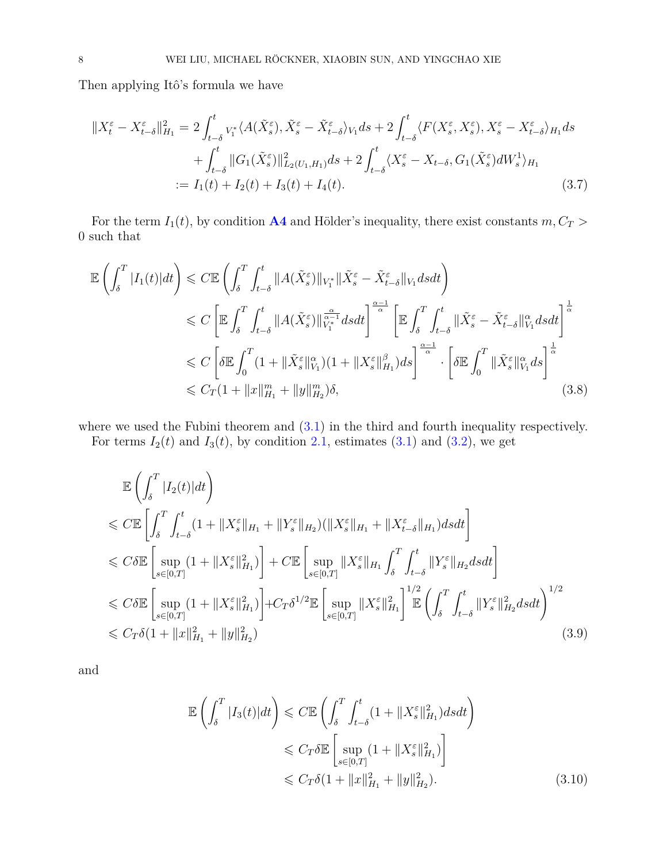Then applying Itô's formula we have

$$
||X_t^{\varepsilon} - X_{t-\delta}^{\varepsilon}||_{H_1}^2 = 2 \int_{t-\delta}^t v_1^* \langle A(\tilde{X}_s^{\varepsilon}), \tilde{X}_s^{\varepsilon} - \tilde{X}_{t-\delta}^{\varepsilon} \rangle_{V_1} ds + 2 \int_{t-\delta}^t \langle F(X_s^{\varepsilon}, X_s^{\varepsilon}), X_s^{\varepsilon} - X_{t-\delta}^{\varepsilon} \rangle_{H_1} ds + \int_{t-\delta}^t ||G_1(\tilde{X}_s^{\varepsilon})||_{L_2(U_1, H_1)}^2 ds + 2 \int_{t-\delta}^t \langle X_s^{\varepsilon} - X_{t-\delta}, G_1(\tilde{X}_s^{\varepsilon}) dW_s^1 \rangle_{H_1} := I_1(t) + I_2(t) + I_3(t) + I_4(t).
$$
 (3.7)

For the term  $I_1(t)$ , by condition **[A4](#page-2-3)** and Hölder's inequality, there exist constants  $m, C_T >$ 0 such that

<span id="page-7-0"></span>
$$
\mathbb{E}\left(\int_{\delta}^{T} |I_{1}(t)|dt\right) \leq C \mathbb{E}\left(\int_{\delta}^{T} \int_{t-\delta}^{t} ||A(\tilde{X}_{s}^{\varepsilon})||_{V_{1}^{*}} ||\tilde{X}_{s}^{\varepsilon} - \tilde{X}_{t-\delta}^{\varepsilon}||_{V_{1}} dsdt\right)
$$
\n
$$
\leq C \left[\mathbb{E}\int_{\delta}^{T} \int_{t-\delta}^{t} ||A(\tilde{X}_{s}^{\varepsilon})||_{V_{1}^{*}}^{\frac{\alpha}{\alpha-1}} dsdt\right]^{\frac{\alpha-1}{\alpha}} \left[\mathbb{E}\int_{\delta}^{T} \int_{t-\delta}^{t} ||\tilde{X}_{s}^{\varepsilon} - \tilde{X}_{t-\delta}^{\varepsilon}||_{V_{1}}^{\alpha} dsdt\right]^{\frac{1}{\alpha}}
$$
\n
$$
\leq C \left[\delta \mathbb{E}\int_{0}^{T} (1 + ||\tilde{X}_{s}^{\varepsilon}||_{V_{1}}^{\alpha}) (1 + ||X_{s}^{\varepsilon}||_{H_{1}}^{\beta})ds\right]^{\frac{\alpha-1}{\alpha}} \cdot \left[\delta \mathbb{E}\int_{0}^{T} ||\tilde{X}_{s}^{\varepsilon}||_{V_{1}}^{\alpha} ds\right]^{\frac{1}{\alpha}}
$$
\n
$$
\leq C_{T}(1 + ||x||_{H_{1}}^{m} + ||y||_{H_{2}}^{m})\delta,
$$
\n(3.8)

where we used the Fubini theorem and  $(3.1)$  in the third and fourth inequality respectively. For terms  $I_2(t)$  and  $I_3(t)$ , by condition [2.1,](#page-2-6) estimates [\(3.1\)](#page-5-2) and [\(3.2\)](#page-5-3), we get

$$
\mathbb{E}\left(\int_{\delta}^{T} |I_{2}(t)|dt\right)
$$
\n
$$
\leq C \mathbb{E}\left[\int_{\delta}^{T} \int_{t-\delta}^{t} (1+||X_{s}^{\varepsilon}||_{H_{1}}+||Y_{s}^{\varepsilon}||_{H_{2}})(||X_{s}^{\varepsilon}||_{H_{1}}+||X_{t-\delta}^{\varepsilon}||_{H_{1}})dsdt\right]
$$
\n
$$
\leq C \delta \mathbb{E}\left[\sup_{s\in[0,T]} (1+||X_{s}^{\varepsilon}||_{H_{1}}^{2})\right] + C \mathbb{E}\left[\sup_{s\in[0,T]}||X_{s}^{\varepsilon}||_{H_{1}}\int_{\delta}^{T} \int_{t-\delta}^{t} ||Y_{s}^{\varepsilon}||_{H_{2}}dsdt\right]
$$
\n
$$
\leq C \delta \mathbb{E}\left[\sup_{s\in[0,T]} (1+||X_{s}^{\varepsilon}||_{H_{1}}^{2})\right] + C_{T} \delta^{1/2} \mathbb{E}\left[\sup_{s\in[0,T]}||X_{s}^{\varepsilon}||_{H_{1}}^{2}\right]^{\frac{1}{2}} \mathbb{E}\left(\int_{\delta}^{T} \int_{t-\delta}^{t} ||Y_{s}^{\varepsilon}||_{H_{2}}^{2}dsdt\right)^{1/2}
$$
\n
$$
\leq C_{T} \delta(1+||x||_{H_{1}}^{2}+||y||_{H_{2}}^{2})
$$
\n(3.9)

and

$$
\mathbb{E}\left(\int_{\delta}^{T} |I_3(t)|dt\right) \leq C \mathbb{E}\left(\int_{\delta}^{T} \int_{t-\delta}^{t} (1+||X_s^{\varepsilon}||_{H_1}^2)dsdt\right)
$$
  

$$
\leq C_T \delta \mathbb{E}\left[\sup_{s\in[0,T]} (1+||X_s^{\varepsilon}||_{H_1}^2)\right]
$$
  

$$
\leq C_T \delta(1+||x||_{H_1}^2+||y||_{H_2}^2).
$$
 (3.10)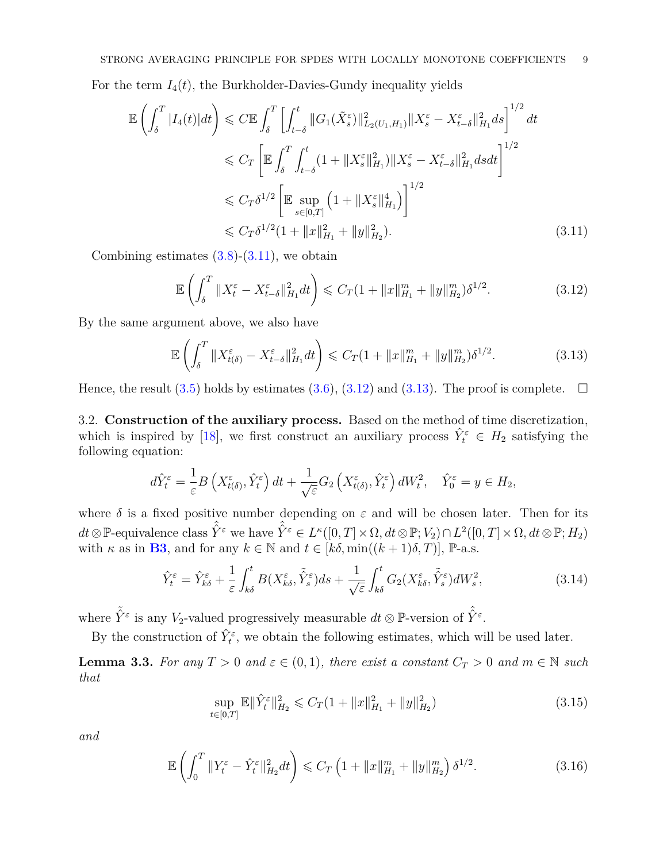For the term  $I_4(t)$ , the Burkholder-Davies-Gundy inequality yields

<span id="page-8-0"></span>
$$
\mathbb{E}\left(\int_{\delta}^{T} |I_{4}(t)|dt\right) \leq C \mathbb{E}\int_{\delta}^{T} \left[\int_{t-\delta}^{t} ||G_{1}(\tilde{X}_{s}^{\varepsilon})||_{L_{2}(U_{1},H_{1})}^{2}||X_{s}^{\varepsilon} - X_{t-\delta}^{\varepsilon}||_{H_{1}}^{2}ds\right]^{1/2}dt
$$
  
\n
$$
\leq C_{T} \left[\mathbb{E}\int_{\delta}^{T} \int_{t-\delta}^{t} (1+||X_{s}^{\varepsilon}||_{H_{1}}^{2})||X_{s}^{\varepsilon} - X_{t-\delta}^{\varepsilon}||_{H_{1}}^{2}dsdt\right]^{1/2}
$$
  
\n
$$
\leq C_{T}\delta^{1/2} \left[\mathbb{E}\sup_{s\in[0,T]} \left(1+||X_{s}^{\varepsilon}||_{H_{1}}^{4}\right)\right]^{1/2}
$$
  
\n
$$
\leq C_{T}\delta^{1/2} \left(1+||x||_{H_{1}}^{2}+||y||_{H_{2}}^{2}\right).
$$
\n(3.11)

Combining estimates  $(3.8)-(3.11)$  $(3.8)-(3.11)$  $(3.8)-(3.11)$ , we obtain

<span id="page-8-1"></span>
$$
\mathbb{E}\left(\int_{\delta}^{T} \|X_{t}^{\varepsilon} - X_{t-\delta}^{\varepsilon}\|_{H_{1}}^{2} dt\right) \leq C_{T} (1 + \|x\|_{H_{1}}^{m} + \|y\|_{H_{2}}^{m}) \delta^{1/2}.
$$
 (3.12)

By the same argument above, we also have

<span id="page-8-2"></span>
$$
\mathbb{E}\left(\int_{\delta}^{T} \|X_{t(\delta)}^{\varepsilon} - X_{t-\delta}^{\varepsilon}\|_{H_1}^{2} dt\right) \leq C_{T} (1 + \|x\|_{H_1}^{m} + \|y\|_{H_2}^{m}) \delta^{1/2}.
$$
 (3.13)

Hence, the result [\(3.5\)](#page-6-0) holds by estimates [\(3.6\)](#page-6-1), [\(3.12\)](#page-8-1) and [\(3.13\)](#page-8-2). The proof is complete.  $\Box$ 

3.2. **Construction of the auxiliary process.** Based on the method of time discretization, which is inspired by [\[18\]](#page-21-5), we first construct an auxiliary process  $\hat{Y}_t^{\varepsilon} \in H_2$  satisfying the following equation:

$$
d\hat{Y}_t^{\varepsilon} = \frac{1}{\varepsilon} B\left(X_{t(\delta)}^{\varepsilon}, \hat{Y}_t^{\varepsilon}\right) dt + \frac{1}{\sqrt{\varepsilon}} G_2\left(X_{t(\delta)}^{\varepsilon}, \hat{Y}_t^{\varepsilon}\right) dW_t^2, \quad \hat{Y}_0^{\varepsilon} = y \in H_2,
$$

where  $\delta$  is a fixed positive number depending on  $\varepsilon$  and will be chosen later. Then for its  $dt \otimes \mathbb{P}$ -equivalence class  $\hat{\hat{Y}}^{\varepsilon}$  we have  $\hat{\hat{Y}}^{\varepsilon} \in L^{\kappa}([0,T] \times \Omega, dt \otimes \mathbb{P}; V_2) \cap L^2([0,T] \times \Omega, dt \otimes \mathbb{P}; H_2)$ with *κ* as in **[B3](#page-3-3)**, and for any  $k \in \mathbb{N}$  and  $t \in [k\delta, \min((k+1)\delta, T)]$ , P-a.s.

$$
\hat{Y}_t^{\varepsilon} = \hat{Y}_{k\delta}^{\varepsilon} + \frac{1}{\varepsilon} \int_{k\delta}^t B(X_{k\delta}^{\varepsilon}, \tilde{\hat{Y}}_s^{\varepsilon}) ds + \frac{1}{\sqrt{\varepsilon}} \int_{k\delta}^t G_2(X_{k\delta}^{\varepsilon}, \tilde{\hat{Y}}_s^{\varepsilon}) dW_s^2,
$$
\n(3.14)

where  $\tilde{\hat{Y}}^{\varepsilon}$  is any *V*<sub>2</sub>-valued progressively measurable  $dt \otimes \mathbb{P}$ -version of  $\hat{\hat{Y}}^{\varepsilon}$ .

By the construction of  $\hat{Y}_t^{\varepsilon}$ , we obtain the following estimates, which will be used later.

**Lemma 3.3.** For any  $T > 0$  and  $\varepsilon \in (0,1)$ , there exist a constant  $C_T > 0$  and  $m \in \mathbb{N}$  such *that*

<span id="page-8-3"></span>
$$
\sup_{t \in [0,T]} \mathbb{E} \|\hat{Y}_t^{\varepsilon}\|_{H_2}^2 \leqslant C_T (1 + \|x\|_{H_1}^2 + \|y\|_{H_2}^2)
$$
\n(3.15)

*and*

<span id="page-8-4"></span>
$$
\mathbb{E}\left(\int_{0}^{T} \|Y_{t}^{\varepsilon} - \hat{Y}_{t}^{\varepsilon}\|_{H_{2}}^{2} dt\right) \leq C_{T} \left(1 + \|x\|_{H_{1}}^{m} + \|y\|_{H_{2}}^{m}\right) \delta^{1/2}.
$$
 (3.16)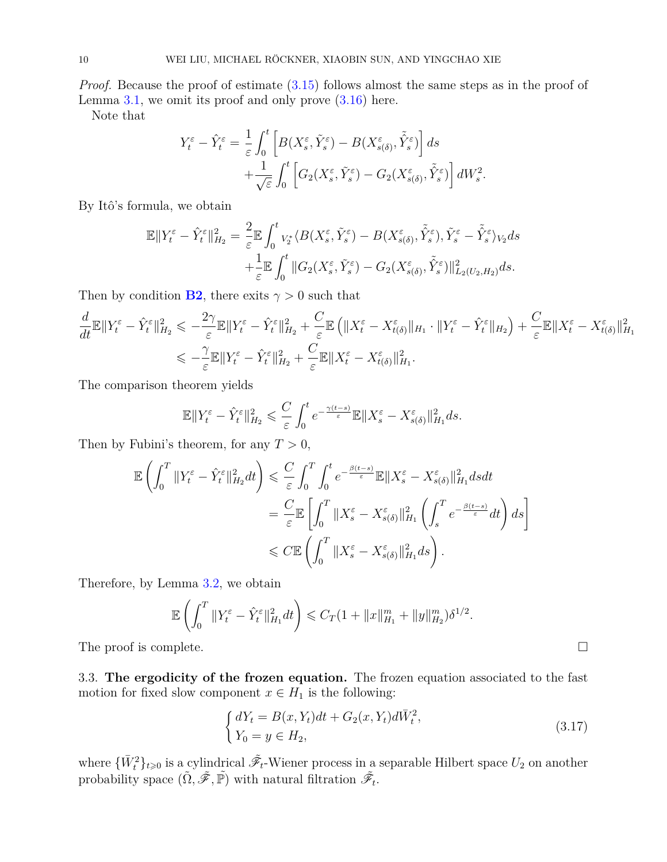*Proof.* Because the proof of estimate  $(3.15)$  follows almost the same steps as in the proof of Lemma [3.1,](#page-5-4) we omit its proof and only prove [\(3.16\)](#page-8-4) here.

Note that

$$
Y_t^{\varepsilon} - \hat{Y}_t^{\varepsilon} = \frac{1}{\varepsilon} \int_0^t \left[ B(X_s^{\varepsilon}, \tilde{Y}_s^{\varepsilon}) - B(X_{s(\delta)}^{\varepsilon}, \tilde{Y}_s^{\varepsilon}) \right] ds + \frac{1}{\sqrt{\varepsilon}} \int_0^t \left[ G_2(X_s^{\varepsilon}, \tilde{Y}_s^{\varepsilon}) - G_2(X_{s(\delta)}^{\varepsilon}, \tilde{Y}_s^{\varepsilon}) \right] dW_s^2.
$$

By Itô's formula, we obtain

$$
\mathbb{E} \|Y_t^{\varepsilon} - \hat{Y}_t^{\varepsilon}\|_{H_2}^2 = \frac{2}{\varepsilon} \mathbb{E} \int_0^t v_2^* \langle B(X_s^{\varepsilon}, \tilde{Y}_s^{\varepsilon}) - B(X_{s(\delta)}^{\varepsilon}, \tilde{Y}_s^{\varepsilon}), \tilde{Y}_s^{\varepsilon} - \tilde{Y}_s^{\varepsilon} \rangle_{V_2} ds + \frac{1}{\varepsilon} \mathbb{E} \int_0^t \|G_2(X_s^{\varepsilon}, \tilde{Y}_s^{\varepsilon}) - G_2(X_{s(\delta)}^{\varepsilon}, \tilde{Y}_s^{\varepsilon})\|_{L_2(U_2, H_2)}^2 ds.
$$

Then by condition **[B2](#page-3-5)**, there exits  $\gamma > 0$  such that

$$
\frac{d}{dt}\mathbb{E}\|Y_t^{\varepsilon} - \hat{Y}_t^{\varepsilon}\|_{H_2}^2 \leqslant -\frac{2\gamma}{\varepsilon}\mathbb{E}\|Y_t^{\varepsilon} - \hat{Y}_t^{\varepsilon}\|_{H_2}^2 + \frac{C}{\varepsilon}\mathbb{E}\left(\|X_t^{\varepsilon} - X_{t(\delta)}^{\varepsilon}\|_{H_1} \cdot \|Y_t^{\varepsilon} - \hat{Y}_t^{\varepsilon}\|_{H_2}\right) + \frac{C}{\varepsilon}\mathbb{E}\|X_t^{\varepsilon} - X_{t(\delta)}^{\varepsilon}\|_{H_1}^2
$$
\n
$$
\leqslant -\frac{\gamma}{\varepsilon}\mathbb{E}\|Y_t^{\varepsilon} - \hat{Y}_t^{\varepsilon}\|_{H_2}^2 + \frac{C}{\varepsilon}\mathbb{E}\|X_t^{\varepsilon} - X_{t(\delta)}^{\varepsilon}\|_{H_1}^2.
$$

The comparison theorem yields

$$
\mathbb{E} \|Y_t^{\varepsilon} - \hat{Y}_t^{\varepsilon}\|_{H_2}^2 \leqslant \frac{C}{\varepsilon} \int_0^t e^{-\frac{\gamma(t-s)}{\varepsilon}} \mathbb{E} \|X_s^{\varepsilon} - X_{s(\delta)}^{\varepsilon}\|_{H_1}^2 ds.
$$

Then by Fubini's theorem, for any  $T > 0$ ,

$$
\mathbb{E}\left(\int_0^T \|Y_t^{\varepsilon} - \hat{Y}_t^{\varepsilon}\|_{H_2}^2 dt\right) \leqslant \frac{C}{\varepsilon} \int_0^T \int_0^t e^{-\frac{\beta(t-s)}{\varepsilon}} \mathbb{E} \|X_s^{\varepsilon} - X_{s(\delta)}^{\varepsilon}\|_{H_1}^2 ds dt
$$
  
\n
$$
= \frac{C}{\varepsilon} \mathbb{E}\left[\int_0^T \|X_s^{\varepsilon} - X_{s(\delta)}^{\varepsilon}\|_{H_1}^2 \left(\int_s^T e^{-\frac{\beta(t-s)}{\varepsilon}} dt\right) ds\right]
$$
  
\n
$$
\leqslant C \mathbb{E}\left(\int_0^T \|X_s^{\varepsilon} - X_{s(\delta)}^{\varepsilon}\|_{H_1}^2 ds\right).
$$

Therefore, by Lemma [3.2,](#page-6-2) we obtain

$$
\mathbb{E}\left(\int_0^T \|Y_t^{\varepsilon} - \hat{Y}_t^{\varepsilon}\|_{H_1}^2 dt\right) \leq C_T (1 + \|x\|_{H_1}^m + \|y\|_{H_2}^m) \delta^{1/2}.
$$
  
The proof is complete.

3.3. **The ergodicity of the frozen equation.** The frozen equation associated to the fast motion for fixed slow component  $x \in H_1$  is the following:

<span id="page-9-0"></span>
$$
\begin{cases} dY_t = B(x, Y_t)dt + G_2(x, Y_t)d\bar{W}_t^2, \\ Y_0 = y \in H_2, \end{cases}
$$
\n(3.17)

where  $\{\bar{W}_t^2\}_{t\geq 0}$  is a cylindrical  $\tilde{\mathscr{F}}_t$ -Wiener process in a separable Hilbert space  $U_2$  on another probability space  $(\tilde{\Omega}, \tilde{\mathscr{F}}, \tilde{\mathbb{P}})$  with natural filtration  $\tilde{\mathscr{F}}_t$ .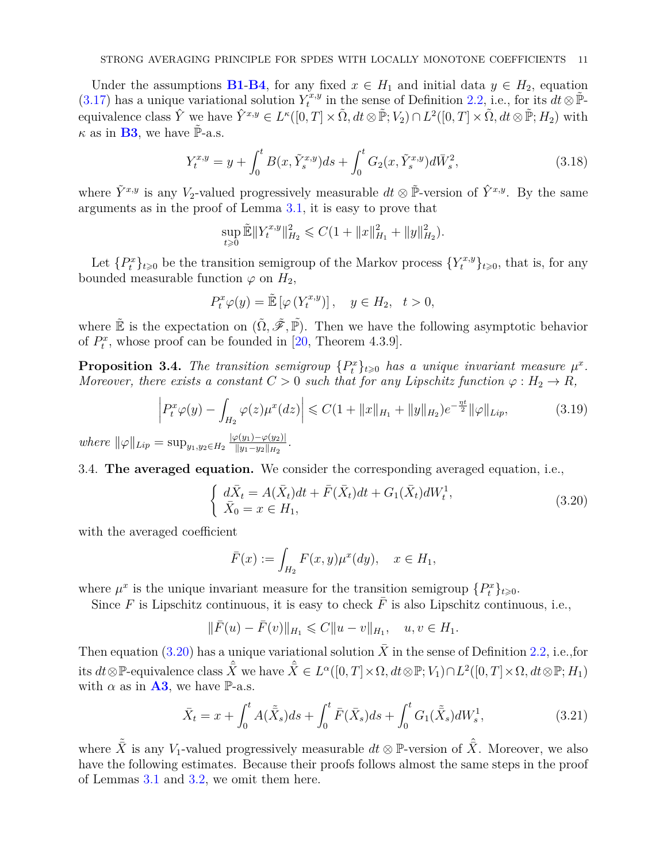Under the assumptions **[B1](#page-2-4)-[B4](#page-3-4)**, for any fixed  $x \in H_1$  and initial data  $y \in H_2$ , equation  $(3.17)$  has a unique variational solution  $Y_t^{x,y}$  $\tilde{t}^{x,y}_t$  in the sense of Definition [2.2,](#page-3-6) i.e., for its  $dt \otimes \tilde{\mathbb{P}}$ - $\text{equivalence class } \hat{Y} \text{ we have } \hat{Y}^{x,y} \in L^{\kappa}([0,T] \times \tilde{\Omega}, dt \otimes \tilde{\mathbb{P}}; V_2) \cap L^2([0,T] \times \tilde{\Omega}, dt \otimes \tilde{\mathbb{P}}; H_2) \text{ with }$  $\kappa$  as in **[B3](#page-3-3)**, we have  $\tilde{\mathbb{P}}$ -a.s.

<span id="page-10-1"></span>
$$
Y_t^{x,y} = y + \int_0^t B(x, \tilde{Y}_s^{x,y}) ds + \int_0^t G_2(x, \tilde{Y}_s^{x,y}) d\bar{W}_s^2,
$$
\n(3.18)

where  $\tilde{Y}^{x,y}$  is any *V*<sub>2</sub>-valued progressively measurable  $dt \otimes \tilde{\mathbb{P}}$ -version of  $\hat{Y}^{x,y}$ . By the same arguments as in the proof of Lemma [3.1,](#page-5-4) it is easy to prove that

$$
\sup_{t\geq 0} \tilde{\mathbb{E}}\|Y_t^{x,y}\|_{H_2}^2 \leqslant C(1+\|x\|_{H_1}^2+\|y\|_{H_2}^2).
$$

Let  ${P_t^x}_{t\ge0}$  be the transition semigroup of the Markov process  ${Y_t^{x,y}}_{t\ge0}$ , that is, for any bounded measurable function  $\varphi$  on  $H_2$ ,

$$
P_t^x \varphi(y) = \tilde{\mathbb{E}}\left[\varphi\left(Y_t^{x,y}\right)\right], \quad y \in H_2, \quad t > 0,
$$

where  $\tilde{E}$  is the expectation on  $(\tilde{\Omega}, \tilde{\mathscr{F}}, \tilde{\mathbb{P}})$ . Then we have the following asymptotic behavior of  $P_t^x$ , whose proof can be founded in [\[20,](#page-21-20) Theorem 4.3.9].

**Proposition 3.4.** The transition semigroup  ${P_t^x}_{t\ge0}$  has a unique invariant measure  $\mu^x$ . *Moreover, there exists a constant*  $C > 0$  *such that for any Lipschitz function*  $\varphi : H_2 \to R$ *,* 

<span id="page-10-2"></span>
$$
\left| P_t^x \varphi(y) - \int_{H_2} \varphi(z) \mu^x(dz) \right| \leq C \left( 1 + \|x\|_{H_1} + \|y\|_{H_2} \right) e^{-\frac{\eta t}{2}} \|\varphi\|_{Lip},\tag{3.19}
$$

 $where \|\varphi\|_{Lip} = \sup_{y_1, y_2 \in H_2} \frac{|\varphi(y_1) - \varphi(y_2)|}{\|y_1 - y_2\|_{H_2}}$  $\frac{\varphi(y_1)-\varphi(y_2)|}{\|y_1-y_2\|_{H_2}}$ .

3.4. **The averaged equation.** We consider the corresponding averaged equation, i.e.,

<span id="page-10-0"></span>
$$
\begin{cases} d\bar{X}_t = A(\bar{X}_t)dt + \bar{F}(\bar{X}_t)dt + G_1(\bar{X}_t)dW_t^1, \\ \bar{X}_0 = x \in H_1, \end{cases}
$$
\n(3.20)

with the averaged coefficient

$$
\bar{F}(x) := \int_{H_2} F(x, y) \mu^x(dy), \quad x \in H_1,
$$

where  $\mu^x$  is the unique invariant measure for the transition semigroup  $\{P_t^x\}_{t\geqslant0}$ .

Since  $F$  is Lipschitz continuous, it is easy to check  $\overline{F}$  is also Lipschitz continuous, i.e.,

$$
\|\bar{F}(u) - \bar{F}(v)\|_{H_1} \leq C \|u - v\|_{H_1}, \quad u, v \in H_1.
$$

Then equation [\(3.20\)](#page-10-0) has a unique variational solution  $\overline{X}$  in the sense of Definition [2.2,](#page-3-6) i.e.,for  $\hat{\vec{X}}$  its  $dt \otimes \mathbb{P}$ -equivalence class  $\hat{\vec{X}}$  we have  $\hat{\vec{X}} \in L^{\alpha}([0,T] \times \Omega, dt \otimes \mathbb{P}; V_1) \cap L^2([0,T] \times \Omega, dt \otimes \mathbb{P}; H_1)$ with  $\alpha$  as in **[A3](#page-2-1)**, we have P-a.s.

$$
\bar{X}_t = x + \int_0^t A(\tilde{\bar{X}}_s)ds + \int_0^t \bar{F}(\bar{X}_s)ds + \int_0^t G_1(\tilde{\bar{X}}_s)dW_s^1, \tag{3.21}
$$

where  $\tilde{\bar{X}}$  is any *V*<sub>1</sub>-valued progressively measurable  $dt \otimes \mathbb{P}$ -version of  $\hat{\bar{X}}$ . Moreover, we also have the following estimates. Because their proofs follows almost the same steps in the proof of Lemmas [3.1](#page-5-4) and [3.2,](#page-6-2) we omit them here.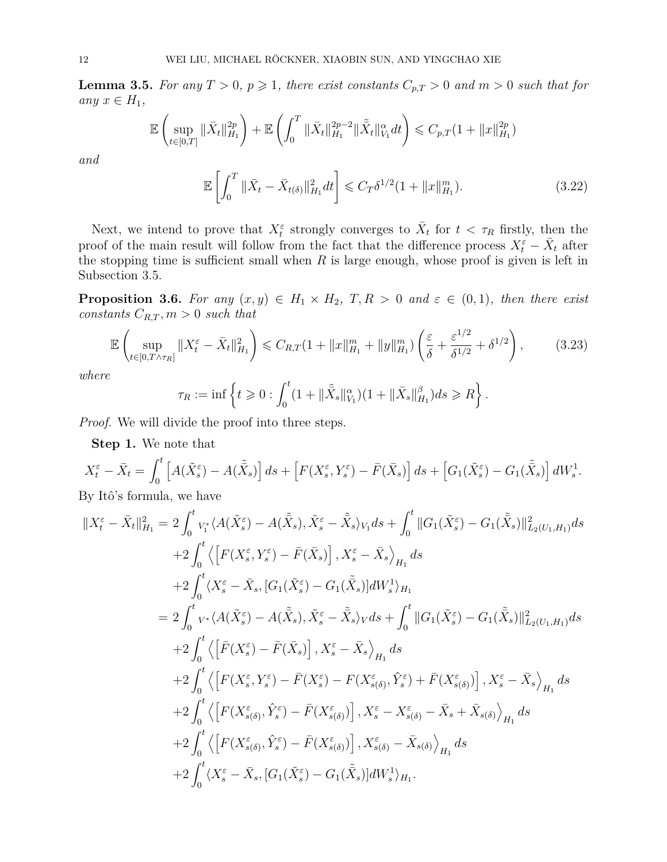<span id="page-11-1"></span>**Lemma 3.5.** For any  $T > 0$ ,  $p \ge 1$ , there exist constants  $C_{p,T} > 0$  and  $m > 0$  such that for *any*  $x \in H_1$ *,* 

$$
\mathbb{E}\left(\sup_{t\in[0,T]}\|\bar{X}_t\|_{H_1}^{2p}\right)+\mathbb{E}\left(\int_0^T\|\bar{X}_t\|_{H_1}^{2p-2}\|\tilde{\bar{X}}_t\|_{V_1}^{\alpha}dt\right)\leqslant C_{p,T}(1+\|x\|_{H_1}^{2p})
$$

*and*

<span id="page-11-0"></span>
$$
\mathbb{E}\left[\int_0^T \|\bar{X}_t - \bar{X}_{t(\delta)}\|_{H_1}^2 dt\right] \leq C_T \delta^{1/2} (1 + \|x\|_{H_1}^m). \tag{3.22}
$$

Next, we intend to prove that  $X_t^{\varepsilon}$  strongly converges to  $\bar{X}_t$  for  $t < \tau_R$  firstly, then the proof of the main result will follow from the fact that the difference process  $X_t^{\varepsilon} - \bar{X}_t$  after the stopping time is sufficient small when *R* is large enough, whose proof is given is left in Subsection 3.5.

**Proposition 3.6.** *For any*  $(x, y) \in H_1 \times H_2$ ,  $T, R > 0$  *and*  $\varepsilon \in (0, 1)$ *, then there exist constants*  $C_{R,T}$ ,  $m > 0$  *such that* 

$$
\mathbb{E}\left(\sup_{t\in[0,T\wedge\tau_R]}\|X_t^{\varepsilon}-\bar{X}_t\|_{H_1}^2\right) \leq C_{R,T}(1+\|x\|_{H_1}^m+\|y\|_{H_1}^m)\left(\frac{\varepsilon}{\delta}+\frac{\varepsilon^{1/2}}{\delta^{1/2}}+\delta^{1/2}\right),\tag{3.23}
$$

*where*

<span id="page-11-2"></span>
$$
\tau_R := \inf \left\{ t \geq 0 : \int_0^t (1 + \|\tilde{\bar{X}}_s\|_{V_1}^{\alpha})(1 + \|\bar{X}_s\|_{H_1}^{\beta}) ds \geq R \right\}.
$$

*Proof.* We will divide the proof into three steps.

**Step 1.** We note that

$$
X_t^{\varepsilon} - \bar{X}_t = \int_0^t \left[ A(\tilde{X}_s^{\varepsilon}) - A(\tilde{\bar{X}}_s) \right] ds + \left[ F(X_s^{\varepsilon}, Y_s^{\varepsilon}) - \bar{F}(\bar{X}_s) \right] ds + \left[ G_1(\tilde{X}_s^{\varepsilon}) - G_1(\tilde{\bar{X}}_s) \right] dW_s^1.
$$

By Itô's formula, we have

$$
\begin{split}\n||X_t^{\varepsilon} - \bar{X}_t||_{H_1}^2 &= 2 \int_0^t v_i^* \langle A(\tilde{X}_s^{\varepsilon}) - A(\tilde{\bar{X}}_s), \tilde{X}_s^{\varepsilon} - \tilde{\bar{X}}_s \rangle_{V_1} ds + \int_0^t ||G_1(\tilde{X}_s^{\varepsilon}) - G_1(\tilde{\bar{X}}_s)||_{L_2(U_1, H_1)}^2 ds \\
&+ 2 \int_0^t \langle \left[ F(X_s^{\varepsilon}, Y_s^{\varepsilon}) - \bar{F}(\bar{X}_s) \right], X_s^{\varepsilon} - \bar{X}_s \rangle_{H_1} ds \\
&+ 2 \int_0^t \langle X_s^{\varepsilon} - \bar{X}_s, [G_1(\tilde{X}_s^{\varepsilon}) - G_1(\tilde{\bar{X}}_s)] dW_s \rangle_{H_1} \\
&= 2 \int_0^t v^* \langle A(\tilde{X}_s^{\varepsilon}) - A(\tilde{\bar{X}}_s), \tilde{X}_s^{\varepsilon} - \tilde{\bar{X}}_s \rangle_V ds + \int_0^t ||G_1(\tilde{X}_s^{\varepsilon}) - G_1(\tilde{\bar{X}}_s)||_{L_2(U_1, H_1)}^2 ds \\
&+ 2 \int_0^t \langle \left[ \bar{F}(X_s^{\varepsilon}) - \bar{F}(\bar{X}_s) \right], X_s^{\varepsilon} - \bar{X}_s \rangle_{H_1} ds \\
&+ 2 \int_0^t \langle \left[ F(X_s^{\varepsilon}, Y_s^{\varepsilon}) - \bar{F}(X_s^{\varepsilon}) - F(X_{s(0)}^{\varepsilon}, \hat{Y}_s^{\varepsilon}) + \bar{F}(X_{s(0)}^{\varepsilon}) \right], X_s^{\varepsilon} - \bar{X}_s \rangle_{H_1} ds \\
&+ 2 \int_0^t \langle \left[ F(X_{s(0)}^{\varepsilon}, \hat{Y}_s^{\varepsilon}) - \bar{F}(X_{s(0)}^{\varepsilon}) \right], X_s^{\varepsilon} - X_{s(0)}^{\varepsilon} - \bar{X}_s + \bar{X}_{s(0)} \rangle_{H_1} ds \\
&+ 2 \int_0^t \langle \left[ F(X_{s(0)}^
$$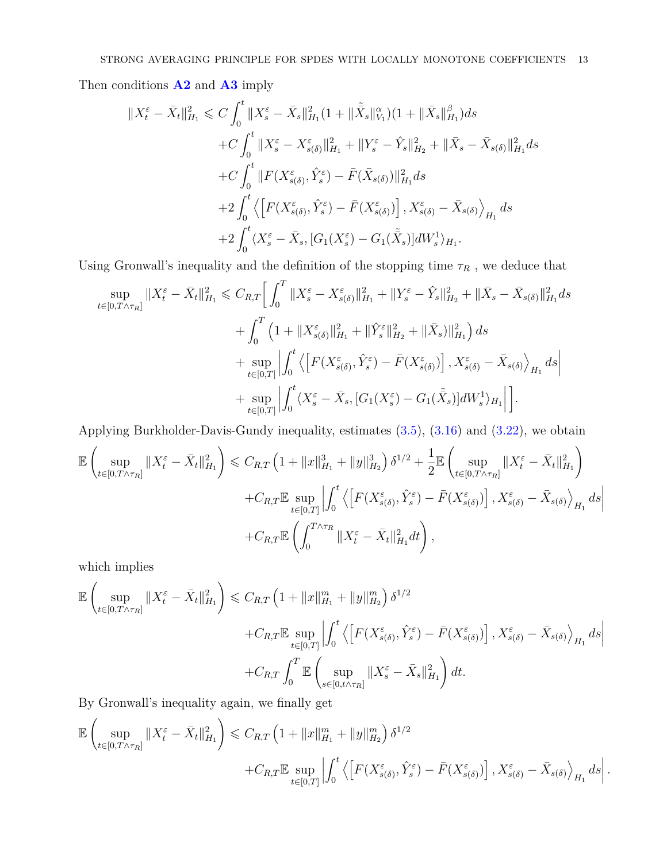Then conditions **[A2](#page-2-5)** and **[A3](#page-2-1)** imply

$$
\begin{split} \Vert X^{\varepsilon}_t - \bar{X}_t \Vert_{H_1}^2 &\leqslant C \int_0^t \Vert X^{\varepsilon}_s - \bar{X}_s \Vert_{H_1}^2 (1 + \Vert \tilde{\bar{X}}_s \Vert_{V_1}^{\alpha}) (1 + \Vert \bar{X}_s \Vert_{H_1}^{\beta}) ds \\ &\quad + C \int_0^t \Vert X^{\varepsilon}_s - X^{\varepsilon}_{s(\delta)} \Vert_{H_1}^2 + \Vert Y^{\varepsilon}_s - \hat{Y}_s \Vert_{H_2}^2 + \Vert \bar{X}_s - \bar{X}_{s(\delta)} \Vert_{H_1}^2 ds \\ &\quad + C \int_0^t \Vert F(X^{\varepsilon}_{s(\delta)}, \hat{Y}^{\varepsilon}_s) - \bar{F}(\bar{X}_{s(\delta)}) \Vert_{H_1}^2 ds \\ &\quad + 2 \int_0^t \left\langle \left[ F(X^{\varepsilon}_{s(\delta)}, \hat{Y}^{\varepsilon}_s) - \bar{F}(X^{\varepsilon}_{s(\delta)}) \right], X^{\varepsilon}_{s(\delta)} - \bar{X}_{s(\delta)} \right\rangle_{H_1} ds \\ &\quad + 2 \int_0^t \left\langle X^{\varepsilon}_s - \bar{X}_s, [G_1(X^{\varepsilon}_s) - G_1(\tilde{\bar{X}}_s)] dW^1_s \right\rangle_{H_1}. \end{split}
$$

Using Gronwall's inequality and the definition of the stopping time  $\tau_R$  , we deduce that

<span id="page-12-0"></span>
$$
\sup_{t\in[0,T\wedge\tau_R]}||X_t^{\varepsilon} - \bar{X}_t||_{H_1}^2 \leq C_{R,T} \Big[ \int_0^T ||X_s^{\varepsilon} - X_{s(\delta)}^{\varepsilon}||_{H_1}^2 + ||Y_s^{\varepsilon} - \hat{Y}_s||_{H_2}^2 + ||\bar{X}_s - \bar{X}_{s(\delta)}||_{H_1}^2 ds + \int_0^T \left(1 + ||X_{s(\delta)}^{\varepsilon}||_{H_1}^2 + ||\hat{Y}_s^{\varepsilon}||_{H_2}^2 + ||\bar{X}_s||_{H_1}^2\right) ds + \sup_{t\in[0,T]} \left| \int_0^t \left\langle \left[ F(X_{s(\delta)}^{\varepsilon}, \hat{Y}_s^{\varepsilon}) - \bar{F}(X_{s(\delta)}^{\varepsilon}) \right], X_{s(\delta)}^{\varepsilon} - \bar{X}_{s(\delta)} \right\rangle_{H_1} ds \right| + \sup_{t\in[0,T]} \left| \int_0^t \left\langle X_s^{\varepsilon} - \bar{X}_s, [G_1(X_s^{\varepsilon}) - G_1(\bar{\bar{X}}_s)] dW_s^1 \right\rangle_{H_1} \right| \Big].
$$

Applying Burkholder-Davis-Gundy inequality, estimates [\(3.5\)](#page-6-0), [\(3.16\)](#page-8-4) and [\(3.22\)](#page-11-0), we obtain

$$
\mathbb{E}\left(\sup_{t\in[0,T\wedge\tau_R]}\|X_t^{\varepsilon}-\bar{X}_t\|_{H_1}^2\right) \leq C_{R,T}\left(1+\|x\|_{H_1}^3+\|y\|_{H_2}^3\right)\delta^{1/2}+\frac{1}{2}\mathbb{E}\left(\sup_{t\in[0,T\wedge\tau_R]}\|X_t^{\varepsilon}-\bar{X}_t\|_{H_1}^2\right) \n+C_{R,T}\mathbb{E}\sup_{t\in[0,T]}\left|\int_0^t\left\langle\left[F(X_{s(\delta)}^{\varepsilon},\hat{Y}_s^{\varepsilon})-\bar{F}(X_{s(\delta)}^{\varepsilon})\right],X_{s(\delta)}^{\varepsilon}-\bar{X}_{s(\delta)}\right\rangle_{H_1}ds\right| \n+C_{R,T}\mathbb{E}\left(\int_0^{T\wedge\tau_R}\|X_t^{\varepsilon}-\bar{X}_t\|_{H_1}^2dt\right),
$$

which implies

$$
\mathbb{E}\left(\sup_{t\in[0,T\wedge\tau_R]}||X_t^{\varepsilon}-\bar{X}_t||_{H_1}^2\right) \leq C_{R,T}\left(1+\|x\|_{H_1}^m+\|y\|_{H_2}^m\right)\delta^{1/2} \n+C_{R,T}\mathbb{E}\sup_{t\in[0,T]}\left|\int_0^t\left\langle \left[F(X_{s(\delta)}^{\varepsilon},\hat{Y}_s^{\varepsilon})-\bar{F}(X_{s(\delta)}^{\varepsilon})\right],X_{s(\delta)}^{\varepsilon}-\bar{X}_{s(\delta)}\right\rangle_{H_1}ds\right| \n+C_{R,T}\int_0^T\mathbb{E}\left(\sup_{s\in[0,t\wedge\tau_R]}\|X_s^{\varepsilon}-\bar{X}_s\|_{H_1}^2\right)dt.
$$

By Gronwall's inequality again, we finally get

$$
\mathbb{E}\left(\sup_{t\in[0,T\wedge\tau_R]}\|X_t^{\varepsilon}-\bar{X}_t\|_{H_1}^2\right) \leqslant C_{R,T}\left(1+\|x\|_{H_1}^m+\|y\|_{H_2}^m\right)\delta^{1/2} \quad +C_{R,T}\mathbb{E}\sup_{t\in[0,T]}\left|\int_0^t\left\langle\left[F(X_{s(\delta)}^{\varepsilon},\hat{Y}_s^{\varepsilon})-\bar{F}(X_{s(\delta)}^{\varepsilon})\right],X_{s(\delta)}^{\varepsilon}-\bar{X}_{s(\delta)}\right\rangle_{H_1}ds\right|.
$$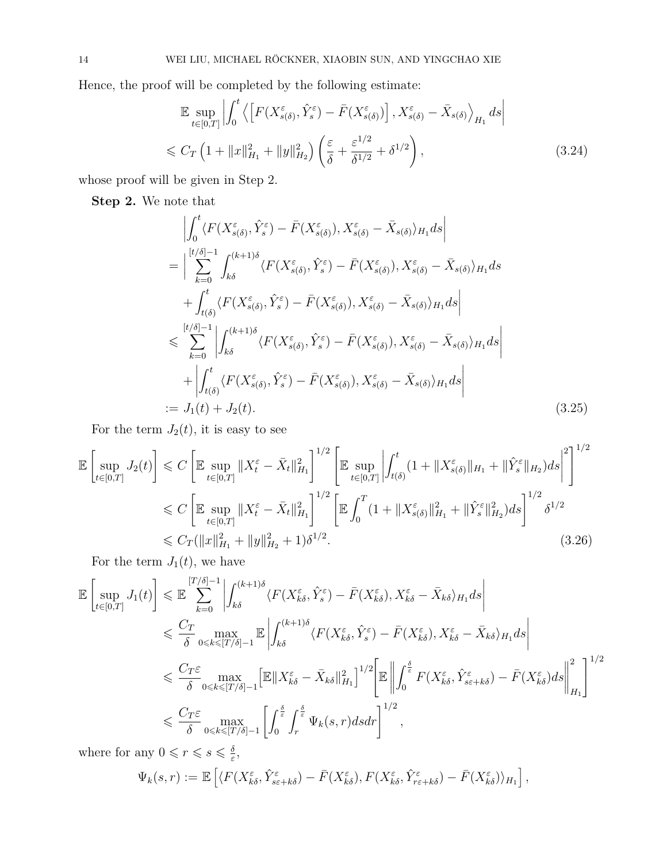Hence, the proof will be completed by the following estimate:

$$
\mathbb{E} \sup_{t \in [0,T]} \left| \int_0^t \left\langle \left[ F(X_{s(\delta)}^{\varepsilon}, \hat{Y}_s^{\varepsilon}) - \bar{F}(X_{s(\delta)}^{\varepsilon}) \right], X_{s(\delta)}^{\varepsilon} - \bar{X}_{s(\delta)} \right\rangle_{H_1} ds \right|
$$
  
\$\leqslant C\_T \left( 1 + \|x\|\_{H\_1}^2 + \|y\|\_{H\_2}^2 \right) \left( \frac{\varepsilon}{\delta} + \frac{\varepsilon^{1/2}}{\delta^{1/2}} + \delta^{1/2} \right), \qquad (3.24)

whose proof will be given in Step 2.

**Step 2.** We note that

$$
\begin{split}\n&\left| \int_{0}^{t} \langle F(X_{s(\delta)}^{\varepsilon}, \hat{Y}_{s}^{\varepsilon}) - \bar{F}(X_{s(\delta)}^{\varepsilon}), X_{s(\delta)}^{\varepsilon} - \bar{X}_{s(\delta)} \rangle_{H_{1}} ds \right| \\
&= \left| \sum_{k=0}^{[t/\delta]-1} \int_{k\delta}^{(k+1)\delta} \langle F(X_{s(\delta)}^{\varepsilon}, \hat{Y}_{s}^{\varepsilon}) - \bar{F}(X_{s(\delta)}^{\varepsilon}), X_{s(\delta)}^{\varepsilon} - \bar{X}_{s(\delta)} \rangle_{H_{1}} ds \\
&+ \int_{t(\delta)}^{t} \langle F(X_{s(\delta)}^{\varepsilon}, \hat{Y}_{s}^{\varepsilon}) - \bar{F}(X_{s(\delta)}^{\varepsilon}), X_{s(\delta)}^{\varepsilon} - \bar{X}_{s(\delta)} \rangle_{H_{1}} ds \right| \\
&\leq \sum_{k=0}^{[t/\delta]-1} \left| \int_{k\delta}^{(k+1)\delta} \langle F(X_{s(\delta)}^{\varepsilon}, \hat{Y}_{s}^{\varepsilon}) - \bar{F}(X_{s(\delta)}^{\varepsilon}), X_{s(\delta)}^{\varepsilon} - \bar{X}_{s(\delta)} \rangle_{H_{1}} ds \right| \\
&+ \left| \int_{t(\delta)}^{t} \langle F(X_{s(\delta)}^{\varepsilon}, \hat{Y}_{s}^{\varepsilon}) - \bar{F}(X_{s(\delta)}^{\varepsilon}), X_{s(\delta)}^{\varepsilon} - \bar{X}_{s(\delta)} \rangle_{H_{1}} ds \right| \\
&:= J_{1}(t) + J_{2}(t). \n\end{split} \tag{3.25}
$$

For the term  $J_2(t)$ , it is easy to see

$$
\mathbb{E}\left[\sup_{t\in[0,T]} J_2(t)\right] \leq C \left[\mathbb{E}\sup_{t\in[0,T]} \|X_t^{\varepsilon} - \bar{X}_t\|_{H_1}^2\right]^{1/2} \left[\mathbb{E}\sup_{t\in[0,T]} \left|\int_{t(\delta)}^t (1 + \|X_{s(\delta)}^{\varepsilon}\|_{H_1} + \|\hat{Y}_s^{\varepsilon}\|_{H_2}) ds\right|^2\right]^{1/2} \leq C \left[\mathbb{E}\sup_{t\in[0,T]} \|X_t^{\varepsilon} - \bar{X}_t\|_{H_1}^2\right]^{1/2} \left[\mathbb{E}\int_0^T (1 + \|X_{s(\delta)}^{\varepsilon}\|_{H_1}^2 + \|\hat{Y}_s^{\varepsilon}\|_{H_2}^2) ds\right]^{1/2} \delta^{1/2} \leq C_T (\|x\|_{H_1}^2 + \|y\|_{H_2}^2 + 1)\delta^{1/2}.
$$
\n(3.26)

For the term  $J_1(t)$ , we have

$$
\mathbb{E}\left[\sup_{t\in[0,T]}J_{1}(t)\right] \leq \mathbb{E}\sum_{k=0}^{[T/\delta]-1}\left|\int_{k\delta}^{(k+1)\delta}\langle F(X_{k\delta}^{\varepsilon},\hat{Y}_{s}^{\varepsilon}) - \bar{F}(X_{k\delta}^{\varepsilon}),X_{k\delta}^{\varepsilon} - \bar{X}_{k\delta}\rangle_{H_{1}}ds\right|
$$
  
\n
$$
\leq \frac{C_{T}}{\delta}\max_{0\leq k\leq [T/\delta]-1}\mathbb{E}\left|\int_{k\delta}^{(k+1)\delta}\langle F(X_{k\delta}^{\varepsilon},\hat{Y}_{s}^{\varepsilon}) - \bar{F}(X_{k\delta}^{\varepsilon}),X_{k\delta}^{\varepsilon} - \bar{X}_{k\delta}\rangle_{H_{1}}ds\right|
$$
  
\n
$$
\leq \frac{C_{T}\varepsilon}{\delta}\max_{0\leq k\leq [T/\delta]-1}\mathbb{E}\|X_{k\delta}^{\varepsilon} - \bar{X}_{k\delta}\|_{H_{1}}^{2}\right|^{1/2}\mathbb{E}\left\|\int_{0}^{\frac{\delta}{\varepsilon}}F(X_{k\delta}^{\varepsilon},\hat{Y}_{s\varepsilon+k\delta}^{\varepsilon}) - \bar{F}(X_{k\delta}^{\varepsilon})ds\right\|_{H_{1}}^{2}\right|^{1/2}
$$
  
\n
$$
\leq \frac{C_{T}\varepsilon}{\delta}\max_{0\leq k\leq [T/\delta]-1}\left[\int_{0}^{\frac{\delta}{\varepsilon}}\int_{r}^{\frac{\delta}{\varepsilon}}\Psi_{k}(s,r)dsdr\right]^{1/2},
$$

where for any  $0 \leq r \leq s \leq \frac{\delta}{s}$ *ε* ,

$$
\Psi_k(s,r) := \mathbb{E}\left[ \langle F(X_{k\delta}^{\varepsilon}, \hat{Y}_{s\varepsilon+k\delta}^{\varepsilon}) - \bar{F}(X_{k\delta}^{\varepsilon}), F(X_{k\delta}^{\varepsilon}, \hat{Y}_{r\varepsilon+k\delta}^{\varepsilon}) - \bar{F}(X_{k\delta}^{\varepsilon}) \rangle_{H_1} \right],
$$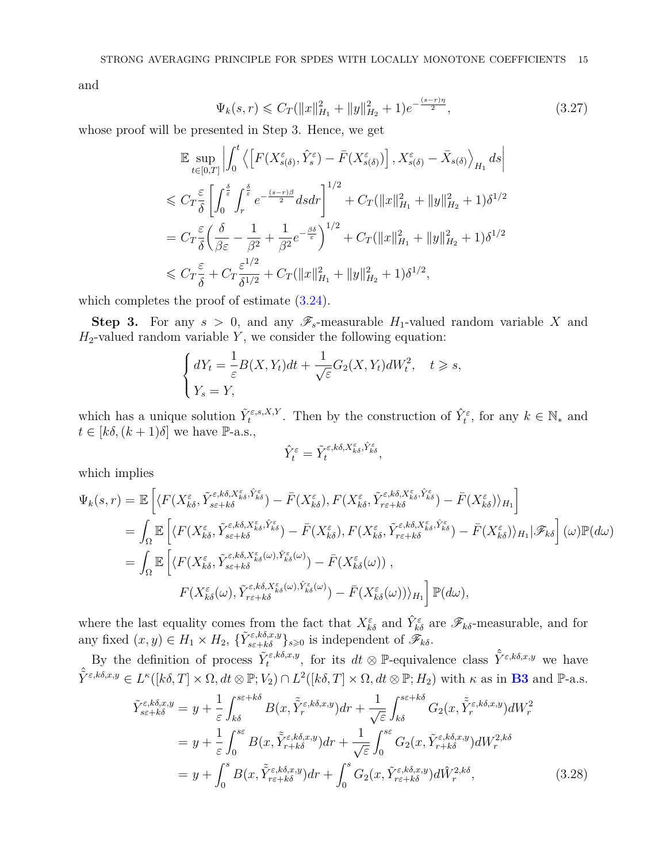and

<span id="page-14-1"></span>
$$
\Psi_k(s,r) \leqslant C_T(\|x\|_{H_1}^2 + \|y\|_{H_2}^2 + 1)e^{-\frac{(s-r)\eta}{2}},\tag{3.27}
$$

whose proof will be presented in Step 3. Hence, we get

$$
\mathbb{E} \sup_{t \in [0,T]} \left| \int_0^t \left\langle \left[ F(X_{s(\delta)}^{\varepsilon}, \hat{Y}_s^{\varepsilon}) - \bar{F}(X_{s(\delta)}^{\varepsilon}) \right], X_{s(\delta)}^{\varepsilon} - \bar{X}_{s(\delta)} \right\rangle_{H_1} ds \right|
$$
  
\n
$$
\leq C_T \frac{\varepsilon}{\delta} \left[ \int_0^{\frac{\delta}{\varepsilon}} \int_r^{\frac{\delta}{\varepsilon}} e^{-\frac{(s-r)\beta}{2}} ds dr \right]^{1/2} + C_T (\|x\|_{H_1}^2 + \|y\|_{H_2}^2 + 1) \delta^{1/2}
$$
  
\n
$$
= C_T \frac{\varepsilon}{\delta} \left( \frac{\delta}{\beta \varepsilon} - \frac{1}{\beta^2} + \frac{1}{\beta^2} e^{-\frac{\beta \delta}{\varepsilon}} \right)^{1/2} + C_T (\|x\|_{H_1}^2 + \|y\|_{H_2}^2 + 1) \delta^{1/2}
$$
  
\n
$$
\leq C_T \frac{\varepsilon}{\delta} + C_T \frac{\varepsilon^{1/2}}{\delta^{1/2}} + C_T (\|x\|_{H_1}^2 + \|y\|_{H_2}^2 + 1) \delta^{1/2},
$$

which completes the proof of estimate  $(3.24)$ .

**Step 3.** For any  $s > 0$ , and any  $\mathscr{F}_s$ -measurable  $H_1$ -valued random variable X and  $H_2$ -valued random variable  $Y$ , we consider the following equation:

$$
\begin{cases} dY_t = \frac{1}{\varepsilon} B(X, Y_t) dt + \frac{1}{\sqrt{\varepsilon}} G_2(X, Y_t) dW_t^2, \quad t \ge s, \\ Y_s = Y, \end{cases}
$$

which has a unique solution  $\tilde{Y}^{\varepsilon,s,X,Y}_t$ . Then by the construction of  $\hat{Y}^{\varepsilon}_t$ , for any  $k \in \mathbb{N}_*$  and  $t \in [k\delta, (k+1)\delta]$  we have P-a.s.,

$$
\hat{Y}_t^\varepsilon=\tilde{Y}_t^{\varepsilon,k\delta,X^\varepsilon_{k\delta},\hat{Y}^\varepsilon_{k\delta}},
$$

which implies

$$
\Psi_{k}(s,r) = \mathbb{E}\left[\langle F(X_{k\delta}^{\varepsilon}, \tilde{Y}_{s\varepsilon+k\delta}^{\varepsilon,k\delta,\tilde{X}_{k\delta}^{\varepsilon}}, \hat{Y}_{k\delta}^{\varepsilon}) - \bar{F}(X_{k\delta}^{\varepsilon}), F(X_{k\delta}^{\varepsilon}, \tilde{Y}_{r\varepsilon+k\delta}^{\varepsilon,k\delta,\tilde{X}_{k\delta}^{\varepsilon}}) - \bar{F}(X_{k\delta}^{\varepsilon})\rangle_{H_{1}}\right]
$$
\n
$$
= \int_{\Omega} \mathbb{E}\left[\langle F(X_{k\delta}^{\varepsilon}, \tilde{Y}_{s\varepsilon+k\delta}^{\varepsilon,k\delta,\tilde{X}_{k\delta}^{\varepsilon}}, \hat{Y}_{k\delta}^{\varepsilon}) - \bar{F}(X_{k\delta}^{\varepsilon}), F(X_{k\delta}^{\varepsilon}, \tilde{Y}_{r\varepsilon+k\delta}^{\varepsilon,k\delta,\tilde{X}_{k\delta}^{\varepsilon}}, \hat{Y}_{k\delta}^{\varepsilon}) - \bar{F}(X_{k\delta}^{\varepsilon})\rangle_{H_{1}}|\mathscr{F}_{k\delta}\right](\omega)\mathbb{P}(d\omega)
$$
\n
$$
= \int_{\Omega} \mathbb{E}\left[\langle F(X_{k\delta}^{\varepsilon}, \tilde{Y}_{s\varepsilon+k\delta}^{\varepsilon,k\delta,\tilde{X}_{k\delta}^{\varepsilon}}(\omega), \hat{Y}_{k\delta}^{\varepsilon}(\omega)) - \bar{F}(X_{k\delta}^{\varepsilon}(\omega))\right],
$$
\n
$$
F(X_{k\delta}^{\varepsilon}(\omega), \tilde{Y}_{r\varepsilon+k\delta}^{\varepsilon,k\delta,\tilde{X}_{k\delta}^{\varepsilon}}(\omega), \hat{Y}_{k\delta}^{\varepsilon}(\omega)) - \bar{F}(X_{k\delta}^{\varepsilon}(\omega))\rangle_{H_{1}}\right] \mathbb{P}(d\omega),
$$

where the last equality comes from the fact that  $X_{k\delta}^{\varepsilon}$  and  $\hat{Y}_{k\delta}^{\varepsilon}$  are  $\mathscr{F}_{k\delta}$ -measurable, and for any fixed  $(x, y) \in H_1 \times H_2$ ,  $\{\tilde{Y}_{s\in k\delta}^{\varepsilon, k\delta, x, y}\}_{s \geq 0}$  is independent of  $\mathscr{F}_{k\delta}$ .

By the definition of process  $\tilde{Y}^{\varepsilon,k\delta,x,y}_{t}$ , for its  $dt \otimes \mathbb{P}$ -equivalence class  $\hat{\tilde{Y}}^{\varepsilon,k\delta,x,y}$  we have  $\hat{Y}^{\varepsilon,k\delta,x,y} \in L^{\kappa}([k\delta,T] \times \Omega, dt \otimes \mathbb{P}; V_2) \cap L^2([k\delta,T] \times \Omega, dt \otimes \mathbb{P}; H_2)$  with  $\kappa$  as in **[B3](#page-3-3)** and  $\mathbb{P}\text{-a.s.}$ 

<span id="page-14-0"></span>
$$
\tilde{Y}_{s\varepsilon+k\delta}^{\varepsilon,k\delta,x,y} = y + \frac{1}{\varepsilon} \int_{k\delta}^{s\varepsilon+k\delta} B(x, \tilde{Y}_r^{\varepsilon,k\delta,x,y}) dr + \frac{1}{\sqrt{\varepsilon}} \int_{k\delta}^{s\varepsilon+k\delta} G_2(x, \tilde{Y}_r^{\varepsilon,k\delta,x,y}) dW_r^2
$$
\n
$$
= y + \frac{1}{\varepsilon} \int_0^{s\varepsilon} B(x, \tilde{Y}_{r+k\delta}^{\varepsilon,k\delta,x,y}) dr + \frac{1}{\sqrt{\varepsilon}} \int_0^{s\varepsilon} G_2(x, \tilde{Y}_{r+k\delta}^{\varepsilon,k\delta,x,y}) dW_r^{2,k\delta}
$$
\n
$$
= y + \int_0^s B(x, \tilde{Y}_{r\varepsilon+k\delta}^{\varepsilon,k\delta,x,y}) dr + \int_0^s G_2(x, \tilde{Y}_{r\varepsilon+k\delta}^{\varepsilon,k\delta,x,y}) d\tilde{W}_r^{2,k\delta}, \tag{3.28}
$$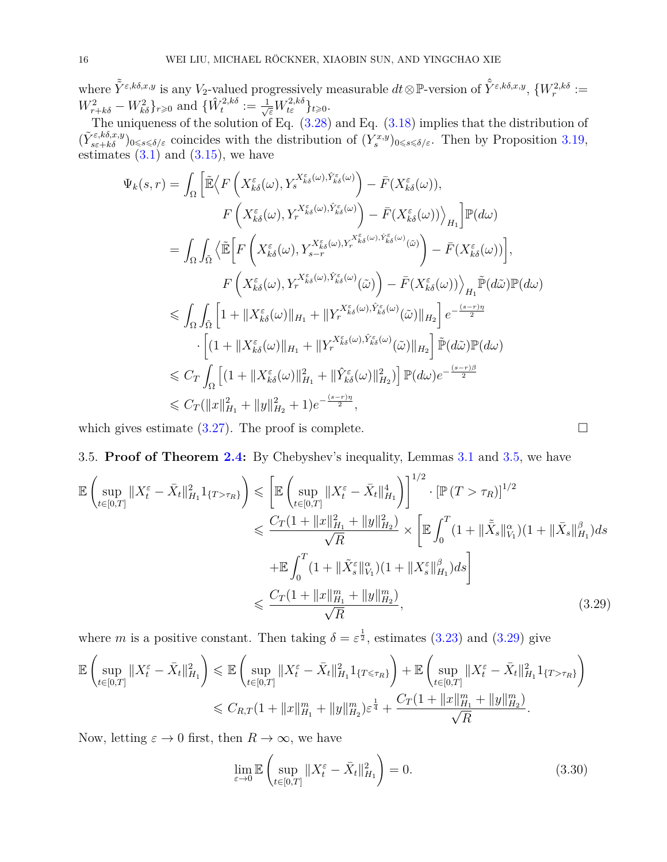where  $\tilde{\tilde{Y}}^{\varepsilon,k\delta,x,y}$  is any *V*<sub>2</sub>-valued progressively measurable  $dt \otimes \mathbb{P}$ -version of  $\hat{\tilde{Y}}^{\varepsilon,k\delta,x,y}$ ,  $\{W_r^{2,k\delta} :=$  $W_{r+k\delta}^2 - W_{k\delta}^2\}_{r \geq 0}$  and  $\{\hat{W}_t^{2,k\delta} := \frac{1}{\sqrt{\varepsilon}}W_{t\varepsilon}^{2,k\delta}\}_{t \geq 0}$ .

The uniqueness of the solution of Eq.  $(3.28)$  and Eq.  $(3.18)$  implies that the distribution of  $(\tilde{Y}_{s\epsilon+k\delta}^{\varepsilon,k\delta,x,y})_{0\leq s\leq \delta/\varepsilon}$  coincides with the distribution of  $(Y_s^{x,y})_{0\leq s\leq \delta/\varepsilon}$ . Then by Proposition [3.19,](#page-10-2) estimates  $(3.1)$  and  $(3.15)$ , we have

$$
\Psi_{k}(s,r) = \int_{\Omega} \left[ \tilde{\mathbb{E}} \Big\langle F \left( X_{k\delta}^{\varepsilon}(\omega), Y_{s}^{X_{k\delta}^{\varepsilon}(\omega), \hat{Y}_{k\delta}^{\varepsilon}(\omega)} \right) - \bar{F} (X_{k\delta}^{\varepsilon}(\omega)), \nF \left( X_{k\delta}^{\varepsilon}(\omega), Y_{r}^{X_{k\delta}^{\varepsilon}(\omega), \hat{Y}_{k\delta}^{\varepsilon}(\omega)} \right) - \bar{F} (X_{k\delta}^{\varepsilon}(\omega)) \Big\rangle_{H_{1}} \right] \mathbb{P}(d\omega) \n= \int_{\Omega} \int_{\tilde{\Omega}} \Big\langle \tilde{\mathbb{E}} \Big[ F \left( X_{k\delta}^{\varepsilon}(\omega), Y_{s-r}^{X_{k\delta}^{\varepsilon}(\omega), Y_{r}^{X_{k\delta}^{\varepsilon}(\omega), \hat{Y}_{k\delta}^{\varepsilon}(\omega)}(\tilde{\omega})} \right) - \bar{F} (X_{k\delta}^{\varepsilon}(\omega)) \Big], \nF \left( X_{k\delta}^{\varepsilon}(\omega), Y_{r}^{X_{k\delta}^{\varepsilon}(\omega), \hat{Y}_{k\delta}^{\varepsilon}(\omega)}(\tilde{\omega})} \right) - \bar{F} (X_{k\delta}^{\varepsilon}(\omega)) \Big\rangle_{H_{1}} \tilde{\mathbb{P}}(d\tilde{\omega}) \mathbb{P}(d\omega) \n\leq \int_{\Omega} \int_{\tilde{\Omega}} \Big[ 1 + \| X_{k\delta}^{\varepsilon}(\omega) \|_{H_{1}} + \| Y_{r}^{X_{k\delta}^{\varepsilon}(\omega), \hat{Y}_{k\delta}^{\varepsilon}(\omega)}(\tilde{\omega}) \|_{H_{2}} \Big] e^{-\frac{(s-r)\eta}{2}} \n\cdot \Big[ (1 + \| X_{k\delta}^{\varepsilon}(\omega) \|_{H_{1}} + \| Y_{r}^{X_{k\delta}^{\varepsilon}(\omega), \hat{Y}_{k\delta}^{\varepsilon}(\omega)}(\tilde{\omega})} \|_{H_{2}} \Big] \tilde{\mathbb{P}}(d\tilde{\omega}) \mathbb{P}(d\omega) \n\leq C_{T} \int_{\Omega} \Big[ (1 + \| X_{k
$$

which gives estimate  $(3.27)$ . The proof is complete.

## 3.5. **Proof of Theorem [2.4:](#page-4-1)** By Chebyshev's inequality, Lemmas [3.1](#page-5-4) and [3.5,](#page-11-1) we have

<span id="page-15-0"></span>
$$
\mathbb{E}\left(\sup_{t\in[0,T]}\|X_t^{\varepsilon}-\bar{X}_t\|_{H_1}^2 1_{\{T>\tau_R\}}\right) \leq \left[\mathbb{E}\left(\sup_{t\in[0,T]}\|X_t^{\varepsilon}-\bar{X}_t\|_{H_1}^4\right)\right]^{1/2} \cdot \left[\mathbb{P}\left(T>\tau_R\right)\right]^{1/2} \n\leq \frac{C_T(1+\|x\|_{H_1}^2+\|y\|_{H_2}^2)}{\sqrt{R}} \times \left[\mathbb{E}\int_0^T(1+\|\tilde{X}_s\|_{V_1}^{\alpha})(1+\|\bar{X}_s\|_{H_1}^{\beta})ds\right] \n+ \mathbb{E}\int_0^T(1+\|\tilde{X}_s^{\varepsilon}\|_{V_1}^{\alpha})(1+\|X_s^{\varepsilon}\|_{H_1}^{\beta})ds \n\leq \frac{C_T(1+\|x\|_{H_1}^m+\|y\|_{H_2}^m)}{\sqrt{R}},
$$
\n(3.29)

where *m* is a positive constant. Then taking  $\delta = \varepsilon^{\frac{1}{2}}$ , estimates [\(3.23\)](#page-11-2) and [\(3.29\)](#page-15-0) give

$$
\mathbb{E}\left(\sup_{t\in[0,T]}\|X_t^{\varepsilon}-\bar{X}_t\|_{H_1}^2\right) \leq \mathbb{E}\left(\sup_{t\in[0,T]}\|X_t^{\varepsilon}-\bar{X}_t\|_{H_1}^2 1_{\{T\leqslant\tau_R\}}\right) + \mathbb{E}\left(\sup_{t\in[0,T]}\|X_t^{\varepsilon}-\bar{X}_t\|_{H_1}^2 1_{\{T>\tau_R\}}\right) \leq C_{R,T}(1+\|x\|_{H_1}^m+\|y\|_{H_2}^m)\varepsilon^{\frac{1}{4}} + \frac{C_T(1+\|x\|_{H_1}^m+\|y\|_{H_2}^m)}{\sqrt{R}}.
$$

Now, letting  $\varepsilon \to 0$  first, then  $R \to \infty$ , we have

<span id="page-15-1"></span>
$$
\lim_{\varepsilon \to 0} \mathbb{E} \left( \sup_{t \in [0,T]} \|X_t^{\varepsilon} - \bar{X}_t\|_{H_1}^2 \right) = 0. \tag{3.30}
$$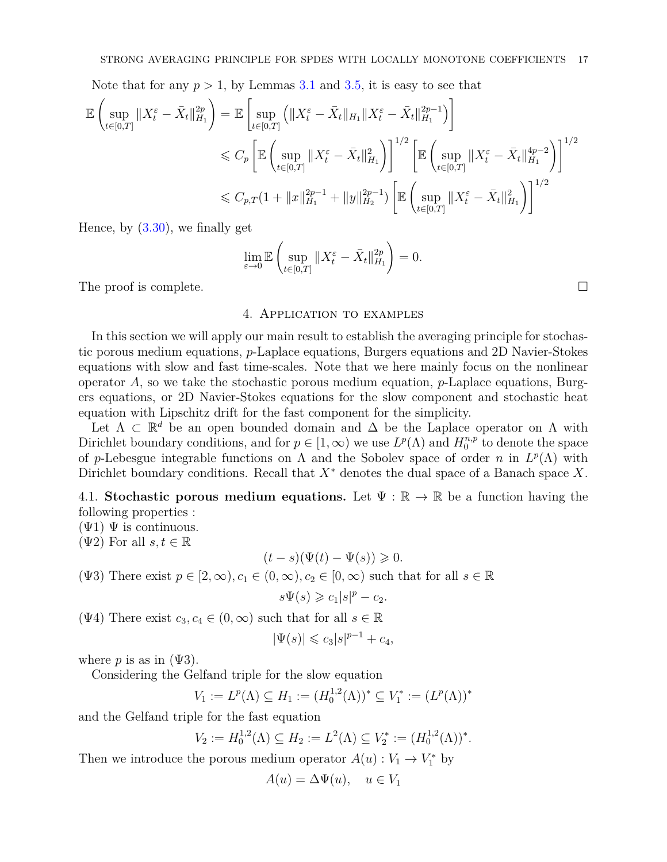Note that for any  $p > 1$ , by Lemmas [3.1](#page-5-4) and [3.5,](#page-11-1) it is easy to see that

$$
\mathbb{E}\left(\sup_{t\in[0,T]}\|X_t^{\varepsilon}-\bar{X}_t\|_{H_1}^{2p}\right) = \mathbb{E}\left[\sup_{t\in[0,T]}\left(\|X_t^{\varepsilon}-\bar{X}_t\|_{H_1}\|X_t^{\varepsilon}-\bar{X}_t\|_{H_1}^{2p-1}\right)\right]
$$
  
\$\leqslant C\_p\left[\mathbb{E}\left(\sup\_{t\in[0,T]}\|X\_t^{\varepsilon}-\bar{X}\_t\|\_{H\_1}^{2}\right)\right]^{1/2}\left[\mathbb{E}\left(\sup\_{t\in[0,T]}\|X\_t^{\varepsilon}-\bar{X}\_t\|\_{H\_1}^{4p-2}\right)\right]^{1/2}\$  
\$\leqslant C\_{p,T}(1+\|x\|\_{H\_1}^{2p-1}+\|y\|\_{H\_2}^{2p-1})\left[\mathbb{E}\left(\sup\_{t\in[0,T]}\|X\_t^{\varepsilon}-\bar{X}\_t\|\_{H\_1}^{2}\right)\right]^{1/2}\$

Hence, by [\(3.30\)](#page-15-1), we finally get

$$
\lim_{\varepsilon \to 0} \mathbb{E} \left( \sup_{t \in [0,T]} \|X_t^{\varepsilon} - \bar{X}_t\|_{H_1}^{2p} \right) = 0.
$$

<span id="page-16-0"></span>The proof is complete.

### 4. Application to examples

In this section we will apply our main result to establish the averaging principle for stochastic porous medium equations, *p*-Laplace equations, Burgers equations and 2D Navier-Stokes equations with slow and fast time-scales. Note that we here mainly focus on the nonlinear operator *A*, so we take the stochastic porous medium equation, *p*-Laplace equations, Burgers equations, or 2D Navier-Stokes equations for the slow component and stochastic heat equation with Lipschitz drift for the fast component for the simplicity.

Let  $\Lambda \subset \mathbb{R}^d$  be an open bounded domain and  $\Delta$  be the Laplace operator on  $\Lambda$  with Dirichlet boundary conditions, and for  $p \in [1, \infty)$  we use  $L^p(\Lambda)$  and  $H_0^{n,p}$  $n^{n,p}_{0}$  to denote the space of *p*-Lebesgue integrable functions on  $\Lambda$  and the Sobolev space of order *n* in  $L^p(\Lambda)$  with Dirichlet boundary conditions. Recall that *X*<sup>∗</sup> denotes the dual space of a Banach space *X*.

4.1. **Stochastic porous medium equations.** Let  $\Psi : \mathbb{R} \to \mathbb{R}$  be a function having the following properties :

 $(\Psi 1) \Psi$  is continuous.

( $\Psi$ 2) For all  $s, t \in \mathbb{R}$ 

$$
(t-s)(\Psi(t)-\Psi(s)) \geq 0.
$$

(Ψ3) There exist  $p \in [2, \infty), c_1 \in (0, \infty), c_2 \in [0, \infty)$  such that for all  $s \in \mathbb{R}$ 

 $s\Psi(s) \geqslant c_1 |s|^p - c_2.$ 

(Ψ4) There exist  $c_3, c_4 \in (0, \infty)$  such that for all  $s \in \mathbb{R}$ 

$$
|\Psi(s)| \leq c_3 |s|^{p-1} + c_4,
$$

where  $p$  is as in  $(\Psi 3)$ .

Considering the Gelfand triple for the slow equation

$$
V_1 := L^p(\Lambda) \subseteq H_1 := (H_0^{1,2}(\Lambda))^* \subseteq V_1^* := (L^p(\Lambda))^*
$$

and the Gelfand triple for the fast equation

$$
V_2 := H_0^{1,2}(\Lambda) \subseteq H_2 := L^2(\Lambda) \subseteq V_2^* := (H_0^{1,2}(\Lambda))^*.
$$

Then we introduce the porous medium operator  $A(u): V_1 \to V_1^*$  by

$$
A(u) = \Delta \Psi(u), \quad u \in V_1
$$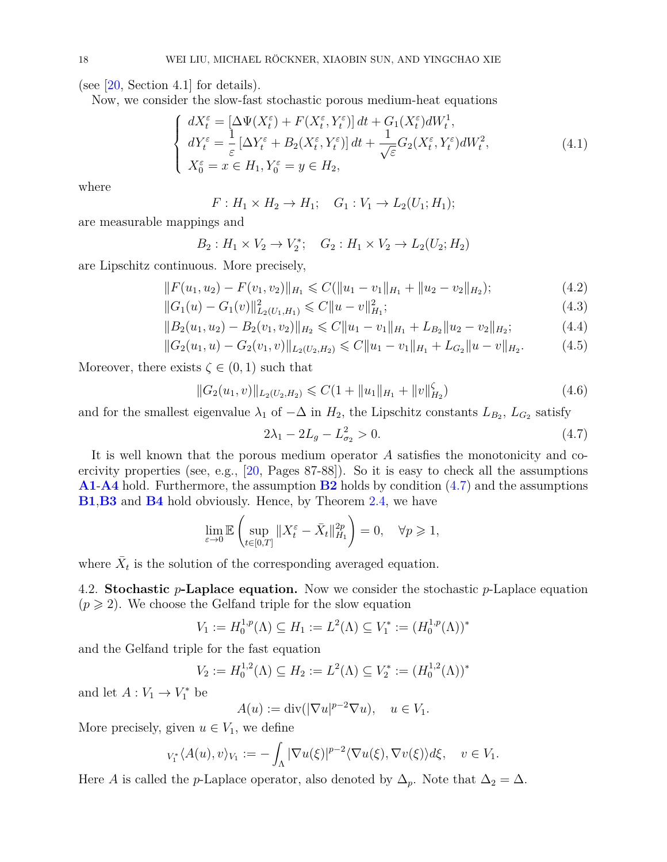(see  $[20, Section 4.1]$  $[20, Section 4.1]$  for details).

Now, we consider the slow-fast stochastic porous medium-heat equations

$$
\begin{cases}\ndX_t^{\varepsilon} = \left[\Delta\Psi(X_t^{\varepsilon}) + F(X_t^{\varepsilon}, Y_t^{\varepsilon})\right]dt + G_1(X_t^{\varepsilon})dW_t^1, \\
dY_t^{\varepsilon} = \frac{1}{\varepsilon}\left[\Delta Y_t^{\varepsilon} + B_2(X_t^{\varepsilon}, Y_t^{\varepsilon})\right]dt + \frac{1}{\sqrt{\varepsilon}}G_2(X_t^{\varepsilon}, Y_t^{\varepsilon})dW_t^2, \\
X_0^{\varepsilon} = x \in H_1, Y_0^{\varepsilon} = y \in H_2,\n\end{cases} \tag{4.1}
$$

where

 $F: H_1 \times H_2 \to H_1; \quad G_1: V_1 \to L_2(U_1; H_1);$ 

are measurable mappings and

$$
B_2: H_1 \times V_2 \to V_2^*;
$$
  $G_2: H_1 \times V_2 \to L_2(U_2; H_2)$ 

are Lipschitz continuous. More precisely,

$$
||F(u_1, u_2) - F(v_1, v_2)||_{H_1} \leqslant C(||u_1 - v_1||_{H_1} + ||u_2 - v_2||_{H_2});
$$
\n(4.2)

<span id="page-17-1"></span>
$$
||G_1(u) - G_1(v)||_{L_2(U_1, H_1)}^2 \leq C||u - v||_{H_1}^2;
$$
\n(4.3)

$$
||B_2(u_1, u_2) - B_2(v_1, v_2)||_{H_2} \leq C||u_1 - v_1||_{H_1} + L_{B_2}||u_2 - v_2||_{H_2};
$$
\n(4.4)

$$
||G_2(u_1, u) - G_2(v_1, v)||_{L_2(U_2, H_2)} \leq C||u_1 - v_1||_{H_1} + L_{G_2}||u - v||_{H_2}.
$$
 (4.5)

Moreover, there exists  $\zeta \in (0,1)$  such that

$$
||G_2(u_1, v)||_{L_2(U_2, H_2)} \leq C(1 + ||u_1||_{H_1} + ||v||_{H_2}^{\zeta})
$$
\n(4.6)

and for the smallest eigenvalue  $\lambda_1$  of  $-\Delta$  in  $H_2$ , the Lipschitz constants  $L_{B_2}, L_{G_2}$  satisfy

<span id="page-17-0"></span>
$$
2\lambda_1 - 2L_g - L_{\sigma_2}^2 > 0. \tag{4.7}
$$

It is well known that the porous medium operator *A* satisfies the monotonicity and coercivity properties (see, e.g., [\[20,](#page-21-20) Pages 87-88]). So it is easy to check all the assumptions **[A1](#page-2-2)**-**[A4](#page-2-3)** hold. Furthermore, the assumption **[B2](#page-3-5)** holds by condition [\(4.7\)](#page-17-0) and the assumptions **[B1](#page-2-4)**,**[B3](#page-3-3)** and **[B4](#page-3-4)** hold obviously. Hence, by Theorem [2.4,](#page-4-1) we have

$$
\lim_{\varepsilon \to 0} \mathbb{E} \left( \sup_{t \in [0,T]} \|X_t^{\varepsilon} - \bar{X}_t\|_{H_1}^{2p} \right) = 0, \quad \forall p \geq 1,
$$

where  $\bar{X}_t$  is the solution of the corresponding averaged equation.

4.2. **Stochastic** *p***-Laplace equation.** Now we consider the stochastic *p*-Laplace equation  $(p \geq 2)$ . We choose the Gelfand triple for the slow equation

$$
V_1 := H_0^{1,p}(\Lambda) \subseteq H_1 := L^2(\Lambda) \subseteq V_1^* := (H_0^{1,p}(\Lambda))^*
$$

and the Gelfand triple for the fast equation

$$
V_2 := H_0^{1,2}(\Lambda) \subseteq H_2 := L^2(\Lambda) \subseteq V_2^* := (H_0^{1,2}(\Lambda))^*
$$

and let  $A: V_1 \to V_1^*$  be

$$
A(u) := \operatorname{div}(|\nabla u|^{p-2} \nabla u), \quad u \in V_1.
$$

More precisely, given  $u \in V_1$ , we define

$$
{}_{V_1^*}\langle A(u),v\rangle_{V_1}:=-\int_{\Lambda}|\nabla u(\xi)|^{p-2}\langle\nabla u(\xi),\nabla v(\xi)\rangle d\xi,\quad v\in V_1.
$$

Here *A* is called the *p*-Laplace operator, also denoted by  $\Delta_p$ . Note that  $\Delta_2 = \Delta$ .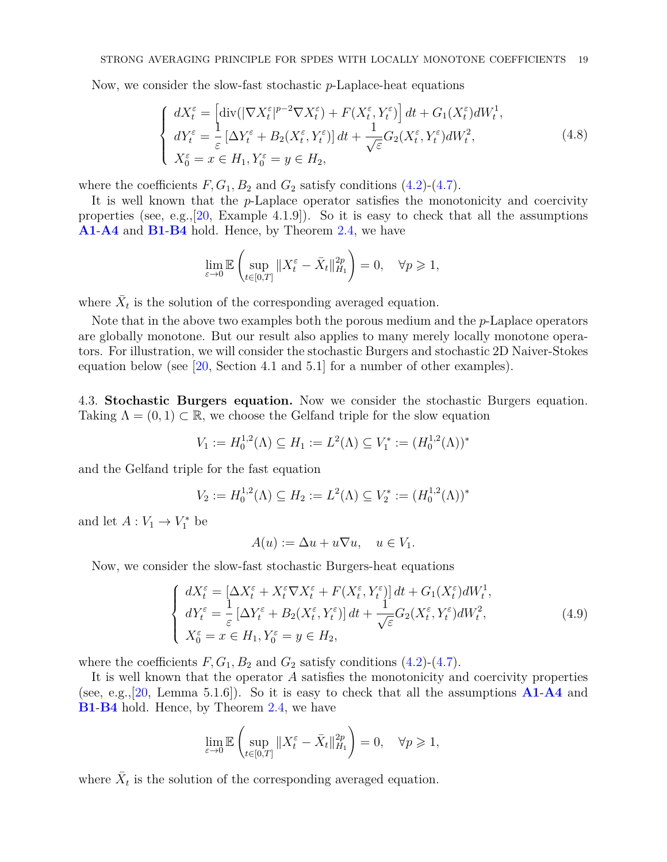Now, we consider the slow-fast stochastic *p*-Laplace-heat equations

$$
\begin{cases}\ndX_t^{\varepsilon} = \left[\text{div}(|\nabla X_t^{\varepsilon}|^{p-2}\nabla X_t^{\varepsilon}) + F(X_t^{\varepsilon}, Y_t^{\varepsilon})\right]dt + G_1(X_t^{\varepsilon})dW_t^1, \\
dY_t^{\varepsilon} = \frac{1}{\varepsilon}\left[\Delta Y_t^{\varepsilon} + B_2(X_t^{\varepsilon}, Y_t^{\varepsilon})\right]dt + \frac{1}{\sqrt{\varepsilon}}G_2(X_t^{\varepsilon}, Y_t^{\varepsilon})dW_t^2, \\
X_0^{\varepsilon} = x \in H_1, Y_0^{\varepsilon} = y \in H_2,\n\end{cases} \tag{4.8}
$$

where the coefficients  $F, G_1, B_2$  and  $G_2$  satisfy conditions  $(4.2)-(4.7)$  $(4.2)-(4.7)$  $(4.2)-(4.7)$ .

It is well known that the *p*-Laplace operator satisfies the monotonicity and coercivity properties (see, e.g., [\[20,](#page-21-20) Example 4.1.9]). So it is easy to check that all the assumptions **[A1](#page-2-2)**-**[A4](#page-2-3)** and **[B1](#page-2-4)**-**[B4](#page-3-4)** hold. Hence, by Theorem [2.4,](#page-4-1) we have

$$
\lim_{\varepsilon \to 0} \mathbb{E} \left( \sup_{t \in [0,T]} \|X_t^{\varepsilon} - \bar{X}_t\|_{H_1}^{2p} \right) = 0, \quad \forall p \geq 1,
$$

where  $\bar{X}_t$  is the solution of the corresponding averaged equation.

Note that in the above two examples both the porous medium and the *p*-Laplace operators are globally monotone. But our result also applies to many merely locally monotone operators. For illustration, we will consider the stochastic Burgers and stochastic 2D Naiver-Stokes equation below (see [\[20,](#page-21-20) Section 4.1 and 5.1] for a number of other examples).

4.3. **Stochastic Burgers equation.** Now we consider the stochastic Burgers equation. Taking  $\Lambda = (0, 1) \subset \mathbb{R}$ , we choose the Gelfand triple for the slow equation

$$
V_1 := H_0^{1,2}(\Lambda) \subseteq H_1 := L^2(\Lambda) \subseteq V_1^* := (H_0^{1,2}(\Lambda))^*
$$

and the Gelfand triple for the fast equation

$$
V_2 := H_0^{1,2}(\Lambda) \subseteq H_2 := L^2(\Lambda) \subseteq V_2^* := (H_0^{1,2}(\Lambda))^*
$$

and let  $A: V_1 \to V_1^*$  be

$$
A(u) := \Delta u + u \nabla u, \quad u \in V_1.
$$

Now, we consider the slow-fast stochastic Burgers-heat equations

$$
\begin{cases}\ndX_t^{\varepsilon} = \left[\Delta X_t^{\varepsilon} + X_t^{\varepsilon} \nabla X_t^{\varepsilon} + F(X_t^{\varepsilon}, Y_t^{\varepsilon})\right] dt + G_1(X_t^{\varepsilon}) dW_t^1, \\
dY_t^{\varepsilon} = \frac{1}{\varepsilon} \left[\Delta Y_t^{\varepsilon} + B_2(X_t^{\varepsilon}, Y_t^{\varepsilon})\right] dt + \frac{1}{\sqrt{\varepsilon}} G_2(X_t^{\varepsilon}, Y_t^{\varepsilon}) dW_t^2, \\
X_0^{\varepsilon} = x \in H_1, Y_0^{\varepsilon} = y \in H_2,\n\end{cases} \tag{4.9}
$$

where the coefficients  $F, G_1, B_2$  and  $G_2$  satisfy conditions  $(4.2)-(4.7)$  $(4.2)-(4.7)$  $(4.2)-(4.7)$ .

It is well known that the operator *A* satisfies the monotonicity and coercivity properties (see, e.g.,[\[20,](#page-21-20) Lemma 5.1.6]). So it is easy to check that all the assumptions **[A1](#page-2-2)**-**[A4](#page-2-3)** and **[B1](#page-2-4)**-**[B4](#page-3-4)** hold. Hence, by Theorem [2.4,](#page-4-1) we have

$$
\lim_{\varepsilon \to 0} \mathbb{E} \left( \sup_{t \in [0,T]} \|X_t^{\varepsilon} - \bar{X}_t\|_{H_1}^{2p} \right) = 0, \quad \forall p \geq 1,
$$

where  $\bar{X}_t$  is the solution of the corresponding averaged equation.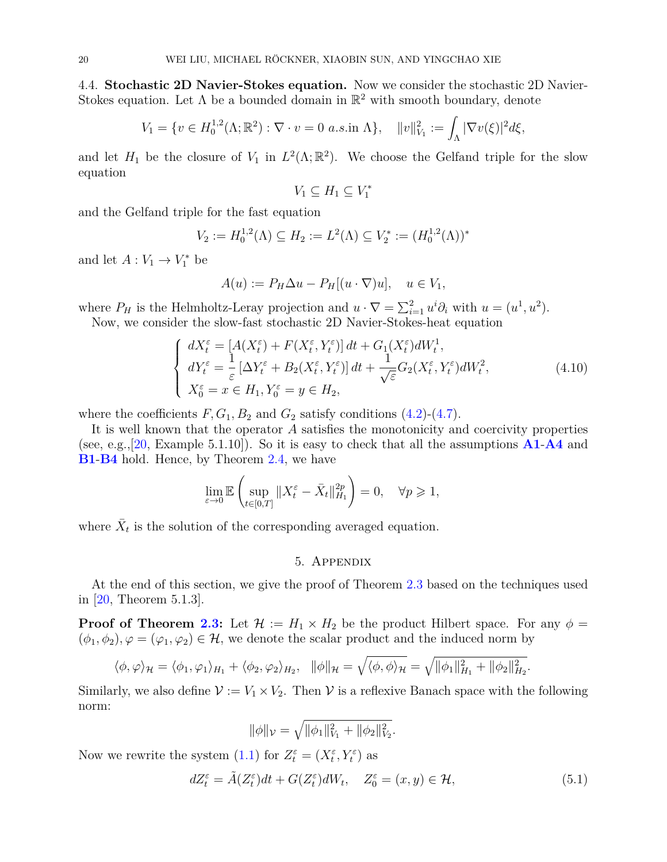4.4. **Stochastic 2D Navier-Stokes equation.** Now we consider the stochastic 2D Navier-Stokes equation. Let  $\Lambda$  be a bounded domain in  $\mathbb{R}^2$  with smooth boundary, denote

$$
V_1 = \{ v \in H_0^{1,2}(\Lambda; \mathbb{R}^2) : \nabla \cdot v = 0 \text{ a.s.in } \Lambda \}, \quad ||v||_{V_1}^2 := \int_{\Lambda} |\nabla v(\xi)|^2 d\xi,
$$

and let  $H_1$  be the closure of  $V_1$  in  $L^2(\Lambda;\mathbb{R}^2)$ . We choose the Gelfand triple for the slow equation

$$
V_1 \subseteq H_1 \subseteq V_1^*
$$

and the Gelfand triple for the fast equation

$$
V_2 := H_0^{1,2}(\Lambda) \subseteq H_2 := L^2(\Lambda) \subseteq V_2^* := (H_0^{1,2}(\Lambda))^*
$$

and let  $A: V_1 \to V_1^*$  be

$$
A(u) := P_H \Delta u - P_H[(u \cdot \nabla)u], \quad u \in V_1,
$$

where  $P_H$  is the Helmholtz-Leray projection and  $u \cdot \nabla = \sum_{i=1}^2 u^i \partial_i$  with  $u = (u^1, u^2)$ . Now, we consider the slow-fast stochastic 2D Navier-Stokes-heat equation

$$
\begin{cases}\ndX_t^{\varepsilon} = [A(X_t^{\varepsilon}) + F(X_t^{\varepsilon}, Y_t^{\varepsilon})] dt + G_1(X_t^{\varepsilon}) dW_t^1, \\
dY_t^{\varepsilon} = \frac{1}{\varepsilon} [\Delta Y_t^{\varepsilon} + B_2(X_t^{\varepsilon}, Y_t^{\varepsilon})] dt + \frac{1}{\sqrt{\varepsilon}} G_2(X_t^{\varepsilon}, Y_t^{\varepsilon}) dW_t^2, \\
X_0^{\varepsilon} = x \in H_1, Y_0^{\varepsilon} = y \in H_2,\n\end{cases} \tag{4.10}
$$

where the coefficients  $F, G_1, B_2$  and  $G_2$  satisfy conditions  $(4.2)$ - $(4.7)$ .

It is well known that the operator *A* satisfies the monotonicity and coercivity properties (see, e.g.,[\[20,](#page-21-20) Example 5.1.10]). So it is easy to check that all the assumptions **[A1](#page-2-2)**-**[A4](#page-2-3)** and **[B1](#page-2-4)**-**[B4](#page-3-4)** hold. Hence, by Theorem [2.4,](#page-4-1) we have

$$
\lim_{\varepsilon \to 0} \mathbb{E} \left( \sup_{t \in [0,T]} \|X_t^{\varepsilon} - \bar{X}_t\|_{H_1}^{2p} \right) = 0, \quad \forall p \geq 1,
$$

where  $\bar{X}_t$  is the solution of the corresponding averaged equation.

### 5. Appendix

At the end of this section, we give the proof of Theorem [2.3](#page-3-7) based on the techniques used in [\[20,](#page-21-20) Theorem 5.1.3].

**Proof of Theorem [2.3:](#page-3-7)** Let  $\mathcal{H} := H_1 \times H_2$  be the product Hilbert space. For any  $\phi =$  $(\phi_1, \phi_2), \varphi = (\varphi_1, \varphi_2) \in \mathcal{H}$ , we denote the scalar product and the induced norm by

$$
\langle \phi, \varphi \rangle_{\mathcal{H}} = \langle \phi_1, \varphi_1 \rangle_{H_1} + \langle \phi_2, \varphi_2 \rangle_{H_2}, \quad \|\phi\|_{\mathcal{H}} = \sqrt{\langle \phi, \phi \rangle_{\mathcal{H}}} = \sqrt{\|\phi_1\|_{H_1}^2 + \|\phi_2\|_{H_2}^2}.
$$

Similarly, we also define  $\mathcal{V} := V_1 \times V_2$ . Then  $\mathcal{V}$  is a reflexive Banach space with the following norm:

$$
\|\phi\|_{\mathcal{V}} = \sqrt{\|\phi_1\|_{V_1}^2 + \|\phi_2\|_{V_2}^2}.
$$

Now we rewrite the system  $(1.1)$  for  $Z_t^{\varepsilon} = (X_t^{\varepsilon}, Y_t^{\varepsilon})$  as

<span id="page-19-0"></span>
$$
dZ_t^{\varepsilon} = \tilde{A}(Z_t^{\varepsilon})dt + G(Z_t^{\varepsilon})dW_t, \quad Z_0^{\varepsilon} = (x, y) \in \mathcal{H},\tag{5.1}
$$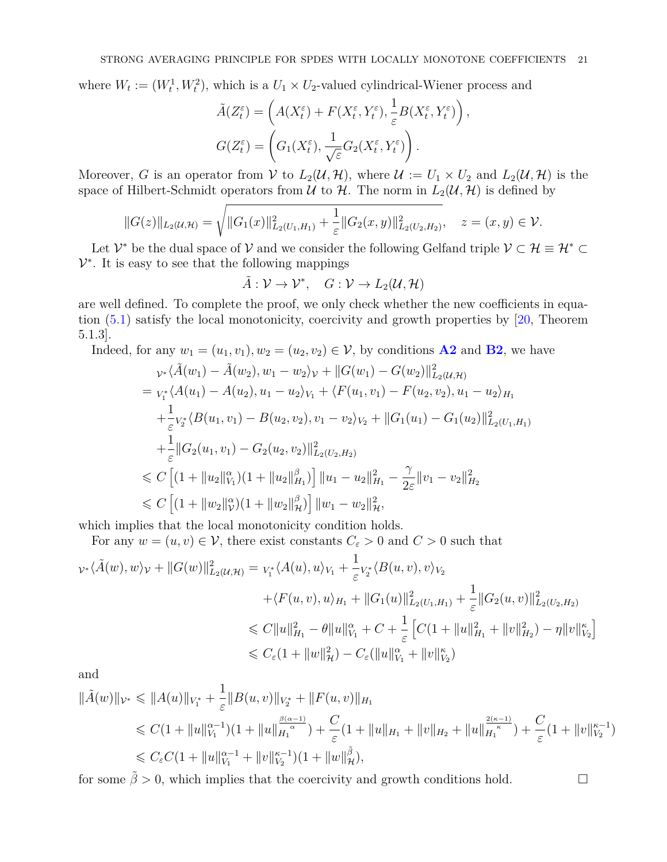where  $W_t := (W_t^1, W_t^2)$ , which is a  $U_1 \times U_2$ -valued cylindrical-Wiener process and

$$
\tilde{A}(Z_t^{\varepsilon}) = \left(A(X_t^{\varepsilon}) + F(X_t^{\varepsilon}, Y_t^{\varepsilon}), \frac{1}{\varepsilon}B(X_t^{\varepsilon}, Y_t^{\varepsilon})\right),
$$

$$
G(Z_t^{\varepsilon}) = \left(G_1(X_t^{\varepsilon}), \frac{1}{\sqrt{\varepsilon}}G_2(X_t^{\varepsilon}, Y_t^{\varepsilon})\right).
$$

Moreover, *G* is an operator from V to  $L_2(\mathcal{U}, \mathcal{H})$ , where  $\mathcal{U} := U_1 \times U_2$  and  $L_2(\mathcal{U}, \mathcal{H})$  is the space of Hilbert-Schmidt operators from  $\mathcal U$  to  $\mathcal H$ . The norm in  $L_2(\mathcal U, \mathcal H)$  is defined by

$$
||G(z)||_{L_2(\mathcal{U},\mathcal{H})} = \sqrt{||G_1(x)||^2_{L_2(U_1,H_1)} + \frac{1}{\varepsilon}||G_2(x,y)||^2_{L_2(U_2,H_2)}}, \quad z = (x,y) \in \mathcal{V}.
$$

Let  $\mathcal{V}^*$  be the dual space of  $\mathcal{V}$  and we consider the following Gelfand triple  $\mathcal{V} \subset \mathcal{H} \equiv \mathcal{H}^* \subset \mathcal{H}$  $\mathcal{V}^*$ . It is easy to see that the following mappings

$$
\tilde{A}: \mathcal{V} \to \mathcal{V}^*, \quad G: \mathcal{V} \to L_2(\mathcal{U}, \mathcal{H})
$$

are well defined. To complete the proof, we only check whether the new coefficients in equation [\(5.1\)](#page-19-0) satisfy the local monotonicity, coercivity and growth properties by [\[20,](#page-21-20) Theorem 5.1.3].

Indeed, for any 
$$
w_1 = (u_1, v_1), w_2 = (u_2, v_2) \in \mathcal{V}
$$
, by conditions **A2** and **B2**, we have  
\n
$$
\begin{aligned}\n&\psi * \langle \tilde{A}(w_1) - \tilde{A}(w_2), w_1 - w_2 \rangle_{\mathcal{V}} + ||G(w_1) - G(w_2)||^2_{L_2(\mathcal{U}, \mathcal{H})} \\
&= v_{i} \langle A(u_1) - A(u_2), u_1 - u_2 \rangle_{V_1} + \langle F(u_1, v_1) - F(u_2, v_2), u_1 - u_2 \rangle_{H_1} \\
&\quad + \frac{1}{\varepsilon} v_{i} \langle B(u_1, v_1) - B(u_2, v_2), v_1 - v_2 \rangle_{V_2} + ||G_1(u_1) - G_1(u_2)||^2_{L_2(U_1, H_1)} \\
&\quad + \frac{1}{\varepsilon} ||G_2(u_1, v_1) - G_2(u_2, v_2)||^2_{L_2(U_2, H_2)} \\
&\leq C \left[ (1 + ||u_2||^{\alpha}_{V_1})(1 + ||u_2||^{\beta}_{H_1}) \right] ||u_1 - u_2||^2_{H_1} - \frac{\gamma}{2\varepsilon} ||v_1 - v_2||^2_{H_2} \\
&\leq C \left[ (1 + ||w_2||^{\alpha}_{V})(1 + ||w_2||^{\beta}_{H}) \right] ||w_1 - w_2||^2_{H_2},\n\end{aligned}
$$

which implies that the local monotonicity condition holds.

For any  $w = (u, v) \in V$ , there exist constants  $C_{\varepsilon} > 0$  and  $C > 0$  such that

$$
\begin{split} \n\gamma^* \langle \tilde{A}(w), w \rangle_{\mathcal{V}} + \|G(w)\|_{L_2(\mathcal{U}, \mathcal{H})}^2 &= \n\gamma^* \langle A(u), u \rangle_{V_1} + \frac{1}{\varepsilon} \n\nabla_{\tilde{z}}^* \langle B(u, v), v \rangle_{V_2} \\ \n&\quad + \langle F(u, v), u \rangle_{H_1} + \|G_1(u)\|_{L_2(U_1, H_1)}^2 + \frac{1}{\varepsilon} \|G_2(u, v)\|_{L_2(U_2, H_2)}^2 \\ \n&\le C \|u\|_{H_1}^2 - \theta \|u\|_{V_1}^2 + C + \frac{1}{\varepsilon} \left[ C(1 + \|u\|_{H_1}^2 + \|v\|_{H_2}^2) - \eta \|v\|_{V_2}^{\kappa} \right] \\ \n&\le C_{\varepsilon} (1 + \|w\|_{\mathcal{H}}^2) - C_{\varepsilon} (\|u\|_{V_1}^{\alpha} + \|v\|_{V_2}^{\kappa}) \n\end{split}
$$

and

$$
\begin{split} \|\tilde{A}(w)\|_{\mathcal{V}^*} &\leq \|A(u)\|_{V_1^*} + \frac{1}{\varepsilon} \|B(u,v)\|_{V_2^*} + \|F(u,v)\|_{H_1} \\ &\leq C(1 + \|u\|_{V_1}^{\alpha-1})(1 + \|u\|_{H_1}^{\alpha\alpha-1}) + \frac{C}{\varepsilon}(1 + \|u\|_{H_1} + \|v\|_{H_2} + \|u\|_{H_1}^{\alpha\alpha-1}) + \frac{C}{\varepsilon}(1 + \|v\|_{V_2}^{\alpha-1}) \\ &\leq C_{\varepsilon}C(1 + \|u\|_{V_1}^{\alpha-1} + \|v\|_{V_2}^{\alpha-1})(1 + \|w\|_{\mathcal{H}}^{\tilde{\beta}}), \end{split}
$$

for some  $\tilde{\beta} > 0$ , which implies that the coercivity and growth conditions hold.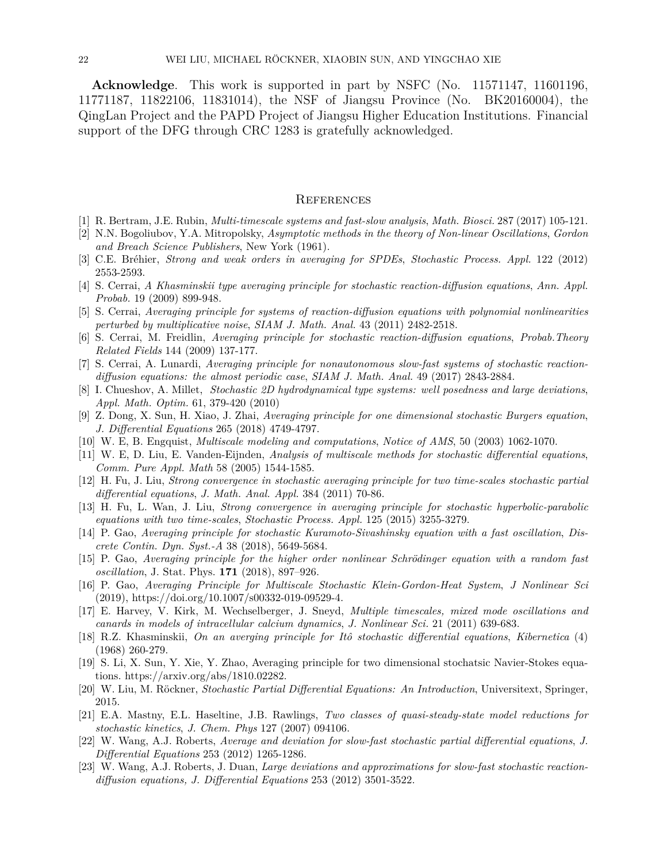**Acknowledge**. This work is supported in part by NSFC (No. 11571147, 11601196, 11771187, 11822106, 11831014), the NSF of Jiangsu Province (No. BK20160004), the QingLan Project and the PAPD Project of Jiangsu Higher Education Institutions. Financial support of the DFG through CRC 1283 is gratefully acknowledged.

#### **REFERENCES**

- <span id="page-21-0"></span>[1] R. Bertram, J.E. Rubin, *Multi-timescale systems and fast-slow analysis*, *Math. Biosci.* 287 (2017) 105-121.
- <span id="page-21-4"></span>[2] N.N. Bogoliubov, Y.A. Mitropolsky, *Asymptotic methods in the theory of Non-linear Oscillations*, *Gordon and Breach Science Publishers*, New York (1961).
- <span id="page-21-7"></span>[3] C.E. Bréhier, *Strong and weak orders in averaging for SPDEs*, *Stochastic Process. Appl.* 122 (2012) 2553-2593.
- <span id="page-21-10"></span>[4] S. Cerrai, *A Khasminskii type averaging principle for stochastic reaction-diffusion equations*, *Ann. Appl. Probab.* 19 (2009) 899-948.
- <span id="page-21-14"></span>[5] S. Cerrai, *Averaging principle for systems of reaction-diffusion equations with polynomial nonlinearities perturbed by multiplicative noise*, *SIAM J. Math. Anal.* 43 (2011) 2482-2518.
- <span id="page-21-6"></span>[6] S. Cerrai, M. Freidlin, *Averaging principle for stochastic reaction-diffusion equations*, *Probab.Theory Related Fields* 144 (2009) 137-177.
- <span id="page-21-9"></span>[7] S. Cerrai, A. Lunardi, *Averaging principle for nonautonomous slow-fast systems of stochastic reactiondiffusion equations: the almost periodic case*, *SIAM J. Math. Anal.* 49 (2017) 2843-2884.
- <span id="page-21-21"></span>[8] I. Chueshov, A. Millet, *Stochastic 2D hydrodynamical type systems: well posedness and large deviations*, *Appl. Math. Optim.* 61, 379-420 (2010)
- <span id="page-21-15"></span>[9] Z. Dong, X. Sun, H. Xiao, J. Zhai, *Averaging principle for one dimensional stochastic Burgers equation*, *J. Differential Equations* 265 (2018) 4749-4797.
- <span id="page-21-1"></span>[10] W. E, B. Engquist, *Multiscale modeling and computations*, *Notice of AMS*, 50 (2003) 1062-1070.
- [11] W. E, D. Liu, E. Vanden-Eijnden, *Analysis of multiscale methods for stochastic differential equations*, *Comm. Pure Appl. Math* 58 (2005) 1544-1585.
- <span id="page-21-11"></span>[12] H. Fu, J. Liu, *Strong convergence in stochastic averaging principle for two time-scales stochastic partial differential equations*, *J. Math. Anal. Appl.* 384 (2011) 70-86.
- <span id="page-21-8"></span>[13] H. Fu, L. Wan, J. Liu, *Strong convergence in averaging principle for stochastic hyperbolic-parabolic equations with two time-scales*, *Stochastic Process. Appl.* 125 (2015) 3255-3279.
- <span id="page-21-17"></span>[14] P. Gao, *Averaging principle for stochastic Kuramoto-Sivashinsky equation with a fast oscillation*, *Discrete Contin. Dyn. Syst.-A* 38 (2018), 5649-5684.
- <span id="page-21-18"></span>[15] P. Gao, *Averaging principle for the higher order nonlinear Schrödinger equation with a random fast oscillation*, J. Stat. Phys. **171** (2018), 897–926.
- <span id="page-21-19"></span>[16] P. Gao, *Averaging Principle for Multiscale Stochastic Klein-Gordon-Heat System*, *J Nonlinear Sci* (2019), https://doi.org/10.1007/s00332-019-09529-4.
- <span id="page-21-2"></span>[17] E. Harvey, V. Kirk, M. Wechselberger, J. Sneyd, *Multiple timescales, mixed mode oscillations and canards in models of intracellular calcium dynamics*, *J. Nonlinear Sci.* 21 (2011) 639-683.
- <span id="page-21-5"></span>[18] R.Z. Khasminskii, *On an averging principle for Itô stochastic differential equations*, *Kibernetica* (4) (1968) 260-279.
- <span id="page-21-16"></span>[19] S. Li, X. Sun, Y. Xie, Y. Zhao, Averaging principle for two dimensional stochatsic Navier-Stokes equations. https://arxiv.org/abs/1810.02282.
- <span id="page-21-20"></span>[20] W. Liu, M. Röckner, *Stochastic Partial Differential Equations: An Introduction*, Universitext, Springer, 2015.
- <span id="page-21-3"></span>[21] E.A. Mastny, E.L. Haseltine, J.B. Rawlings, *Two classes of quasi-steady-state model reductions for stochastic kinetics*, *J. Chem. Phys* 127 (2007) 094106.
- <span id="page-21-12"></span>[22] W. Wang, A.J. Roberts, *Average and deviation for slow-fast stochastic partial differential equations*, *J. Differential Equations* 253 (2012) 1265-1286.
- <span id="page-21-13"></span>[23] W. Wang, A.J. Roberts, J. Duan, *Large deviations and approximations for slow-fast stochastic reactiondiffusion equations, J. Differential Equations* 253 (2012) 3501-3522.